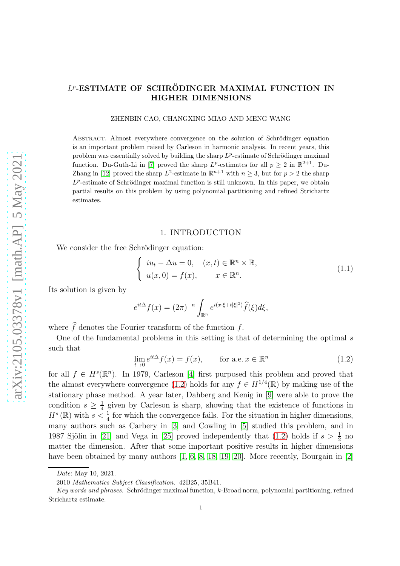# $L^p$ -ESTIMATE OF SCHRÖDINGER MAXIMAL FUNCTION IN HIGHER DIMENSIONS

ZHENBIN CAO, CHANGXING MIAO AND MENG WANG

ABSTRACT. Almost everywhere convergence on the solution of Schrödinger equation is an important problem raised by Carleson in harmonic analysis. In recent years, this problem was essentially solved by building the sharp  $L^p$ -estimate of Schrödinger maximal function. Du-Guth-Li in [\[7\]](#page-32-0) proved the sharp  $L^p$ -estimates for all  $p \geq 2$  in  $\mathbb{R}^{2+1}$ . Du-Zhang in [\[12\]](#page-32-1) proved the sharp  $L^2$ -estimate in  $\mathbb{R}^{n+1}$  with  $n \geq 3$ , but for  $p > 2$  the sharp  $L^p$ -estimate of Schrödinger maximal function is still unknown. In this paper, we obtain partial results on this problem by using polynomial partitioning and refined Strichartz estimates.

#### 1. INTRODUCTION

We consider the free Schrödinger equation:

$$
\begin{cases}\ni u_t - \Delta u = 0, & (x, t) \in \mathbb{R}^n \times \mathbb{R}, \\
u(x, 0) = f(x), & x \in \mathbb{R}^n.\n\end{cases}
$$
\n(1.1)

Its solution is given by

$$
e^{it\Delta}f(x) = (2\pi)^{-n} \int_{\mathbb{R}^n} e^{i(x\cdot\xi + t|\xi|^2)} \widehat{f}(\xi) d\xi,
$$

where  $\hat{f}$  denotes the Fourier transform of the function f.

One of the fundamental problems in this setting is that of determining the optimal s such that

<span id="page-0-0"></span>
$$
\lim_{t \to 0} e^{it\Delta} f(x) = f(x), \qquad \text{for a.e. } x \in \mathbb{R}^n \tag{1.2}
$$

for all  $f \in H^s(\mathbb{R}^n)$ . In 1979, Carleson [\[4\]](#page-31-0) first purposed this problem and proved that the almost everywhere convergence [\(1.2\)](#page-0-0) holds for any  $f \in H^{1/4}(\mathbb{R})$  by making use of the stationary phase method. A year later, Dahberg and Kenig in [\[9\]](#page-32-2) were able to prove the condition  $s \geq \frac{1}{4}$  $\frac{1}{4}$  given by Carleson is sharp, showing that the existence of functions in  $H^s(\mathbb{R})$  with  $s < \frac{1}{4}$  for which the convergence fails. For the situation in higher dimensions, many authors such as Carbery in [\[3\]](#page-31-1) and Cowling in [\[5\]](#page-31-2) studied this problem, and in 1987 Sjölin in [\[21\]](#page-32-3) and Vega in [\[25\]](#page-32-4) proved independently that [\(1.2\)](#page-0-0) holds if  $s > \frac{1}{2}$  no matter the dimension. After that some important positive results in higher dimensions have been obtained by many authors [\[1,](#page-31-3) [6,](#page-32-5) [8,](#page-32-6) [18,](#page-32-7) [19,](#page-32-8) [20\]](#page-32-9). More recently, Bourgain in [\[2\]](#page-31-4)

Date: May 10, 2021.

<sup>2010</sup> Mathematics Subject Classification. 42B25, 35B41.

Key words and phrases. Schrödinger maximal function,  $k$ -Broad norm, polynomial partitioning, refined Strichartz estimate.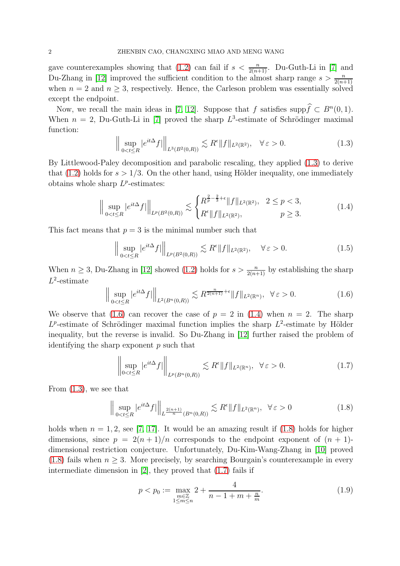gave counterexamples showing that [\(1.2\)](#page-0-0) can fail if  $s < \frac{n}{2(n+1)}$ . Du-Guth-Li in [\[7\]](#page-32-0) and Du-Zhang in [\[12\]](#page-32-1) improved the sufficient condition to the almost sharp range  $s > \frac{n}{2(n+1)}$ when  $n = 2$  and  $n \geq 3$ , respectively. Hence, the Carleson problem was essentially solved except the endpoint.

Now, we recall the main ideas in [\[7,](#page-32-0) [12\]](#page-32-1). Suppose that f satisfies supp $\hat{f} \subset B^n(0, 1)$ . When  $n = 2$ , Du-Guth-Li in [\[7\]](#page-32-0) proved the sharp  $L^3$ -estimate of Schrödinger maximal function:

<span id="page-1-0"></span>
$$
\left\| \sup_{0 < t \le R} |e^{it\Delta} f| \right\|_{L^3(B^2(0,R))} \lesssim R^{\epsilon} \|f\|_{L^2(\mathbb{R}^2)}, \quad \forall \, \varepsilon > 0. \tag{1.3}
$$

By Littlewood-Paley decomposition and parabolic rescaling, they applied [\(1.3\)](#page-1-0) to derive that [\(1.2\)](#page-0-0) holds for  $s > 1/3$ . On the other hand, using Hölder inequality, one immediately obtains whole sharp  $L^p$ -estimates:

<span id="page-1-2"></span>
$$
\left\| \sup_{0 < t \le R} |e^{it\Delta} f| \right\|_{L^p(B^2(0,R))} \lesssim \begin{cases} R^{\frac{2}{p} - \frac{2}{3} + \epsilon} \|f\|_{L^2(\mathbb{R}^2)}, & 2 \le p < 3, \\ R^{\epsilon} \|f\|_{L^2(\mathbb{R}^2)}, & p \ge 3. \end{cases} \tag{1.4}
$$

This fact means that  $p = 3$  is the minimal number such that

$$
\left\| \sup_{0 < t \le R} |e^{it\Delta} f| \right\|_{L^p(B^2(0,R))} \lesssim R^{\epsilon} \|f\|_{L^2(\mathbb{R}^2)}, \quad \forall \varepsilon > 0. \tag{1.5}
$$

When  $n \geq 3$ , Du-Zhang in [\[12\]](#page-32-1) showed [\(1.2\)](#page-0-0) holds for  $s > \frac{n}{2(n+1)}$  by establishing the sharp  $L^2$ -estimate

<span id="page-1-1"></span>
$$
\left\| \sup_{0 < t \le R} |e^{it\Delta} f| \right\|_{L^2(B^n(0,R))} \lesssim R^{\frac{n}{2(n+1)} + \epsilon} \|f\|_{L^2(\mathbb{R}^n)}, \quad \forall \varepsilon > 0. \tag{1.6}
$$

We observe that [\(1.6\)](#page-1-1) can recover the case of  $p = 2$  in [\(1.4\)](#page-1-2) when  $n = 2$ . The sharp  $L^p$ -estimate of Schrödinger maximal function implies the sharp  $L^2$ -estimate by Hölder inequality, but the reverse is invalid. So Du-Zhang in [\[12\]](#page-32-1) further raised the problem of identifying the sharp exponent  $p$  such that

<span id="page-1-4"></span>
$$
\left\| \sup_{0 < t \le R} |e^{it\Delta} f| \right\|_{L^p(B^n(0,R))} \lesssim R^{\epsilon} \|f\|_{L^2(\mathbb{R}^n)}, \ \ \forall \varepsilon > 0. \tag{1.7}
$$

From [\(1.3\)](#page-1-0), we see that

 $\mathbb{R}^2$ 

<span id="page-1-3"></span>
$$
\left\| \sup_{0 < t \le R} |e^{it\Delta} f| \right\|_{L^{\frac{2(n+1)}{n}}(B^n(0,R))} \lesssim R^{\epsilon} \|f\|_{L^2(\mathbb{R}^n)}, \quad \forall \, \varepsilon > 0 \tag{1.8}
$$

holds when  $n = 1, 2$ , see [\[7,](#page-32-0) [17\]](#page-32-10). It would be an amazing result if [\(1.8\)](#page-1-3) holds for higher dimensions, since  $p = 2(n+1)/n$  corresponds to the endpoint exponent of  $(n + 1)$ dimensional restriction conjecture. Unfortunately, Du-Kim-Wang-Zhang in [\[10\]](#page-32-11) proved [\(1.8\)](#page-1-3) fails when  $n \geq 3$ . More precisely, by searching Bourgain's counterexample in every intermediate dimension in [\[2\]](#page-31-4), they proved that [\(1.7\)](#page-1-4) fails if

<span id="page-1-5"></span>
$$
p < p_0 := \max_{\substack{m \in \mathbb{Z} \\ 1 \le m \le n}} 2 + \frac{4}{n - 1 + m + \frac{n}{m}}.\tag{1.9}
$$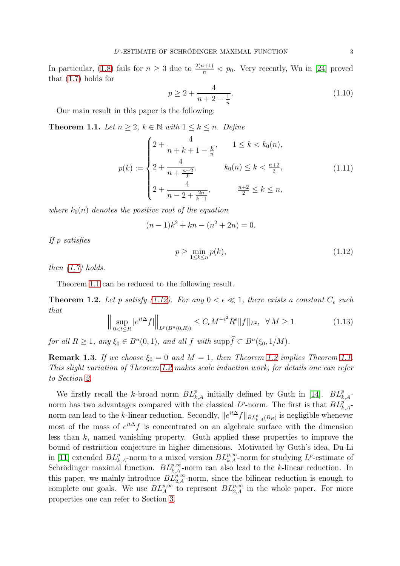In particular, [\(1.8\)](#page-1-3) fails for  $n \geq 3$  due to  $\frac{2(n+1)}{n} < p_0$ . Very recently, Wu in [\[24\]](#page-32-12) proved that [\(1.7\)](#page-1-4) holds for

<span id="page-2-3"></span>
$$
p \ge 2 + \frac{4}{n + 2 - \frac{1}{n}}.\tag{1.10}
$$

Our main result in this paper is the following:

<span id="page-2-0"></span>**Theorem 1.1.** Let  $n \geq 2$ ,  $k \in \mathbb{N}$  with  $1 \leq k \leq n$ . Define

<span id="page-2-4"></span>
$$
p(k) := \begin{cases} 2 + \frac{4}{n + k + 1 - \frac{k}{n}}, & 1 \le k < k_0(n), \\ 2 + \frac{4}{n + \frac{n+2}{k}}, & k_0(n) \le k < \frac{n+2}{2}, \\ 2 + \frac{4}{n - 2 + \frac{2n}{k - 1}}, & \frac{n+2}{2} \le k \le n, \end{cases} \tag{1.11}
$$

where  $k_0(n)$  denotes the positive root of the equation

$$
(n-1)k^2 + kn - (n^2 + 2n) = 0.
$$

If p satisfies

<span id="page-2-1"></span>
$$
p \ge \min_{1 \le k \le n} p(k),\tag{1.12}
$$

then  $(1.7)$  holds.

Theorem [1.1](#page-2-0) can be reduced to the following result.

<span id="page-2-2"></span>**Theorem 1.2.** Let p satisfy [\(1.12\)](#page-2-1). For any  $0 < \epsilon \ll 1$ , there exists a constant  $C_{\epsilon}$  such that

$$
\left\| \sup_{0 < t \le R} |e^{it\Delta} f| \right\|_{L^p(B^n(0,R))} \le C_\epsilon M^{-\epsilon^2} R^\epsilon \|f\|_{L^2}, \ \ \forall \ M \ge 1 \tag{1.13}
$$

for all  $R \geq 1$ , any  $\xi_0 \in B^n(0,1)$ , and all  $f$  with  $\text{supp}\hat{f} \subset B^n(\xi_0,1/M)$ .

**Remark 1.3.** If we choose  $\xi_0 = 0$  and  $M = 1$ , then Theorem [1.2](#page-2-2) implies Theorem [1.1.](#page-2-0) This slight variation of Theorem [1.2](#page-2-2) makes scale induction work, for details one can refer to Section [2.](#page-6-0)

We firstly recall the k-broad norm  $BL_{k,A}^p$  initially defined by Guth in [\[14\]](#page-32-13).  $BL_{k,A}^p$ norm has two advantages compared with the classical  $L^p$ -norm. The first is that  $BL_{k,A}^p$ norm can lead to the k-linear reduction. Secondly,  $||e^{it\Delta}f||_{BL_{k,A}^p(B_R)}$  is negligible whenever most of the mass of  $e^{it\Delta} f$  is concentrated on an algebraic surface with the dimension less than  $k$ , named vanishing property. Guth applied these properties to improve the bound of restriction conjecture in higher dimensions. Motivated by Guth's idea, Du-Li in [\[11\]](#page-32-14) extended  $BL_{k,A}^p$ -norm to a mixed version  $BL_{k,A}^{p,\infty}$ -norm for studying  $L^p$ -estimate of Schrödinger maximal function.  $BL_{k,A}^{p,\infty}$ -norm can also lead to the k-linear reduction. In this paper, we mainly introduce  $BL_{2,A}^{p,\infty}$ -norm, since the bilinear reduction is enough to complete our goals. We use  $BL_A^{p,\infty}$  to represent  $BL_{2,A}^{p,\infty}$  in the whole paper. For more properties one can refer to Section [3.](#page-7-0)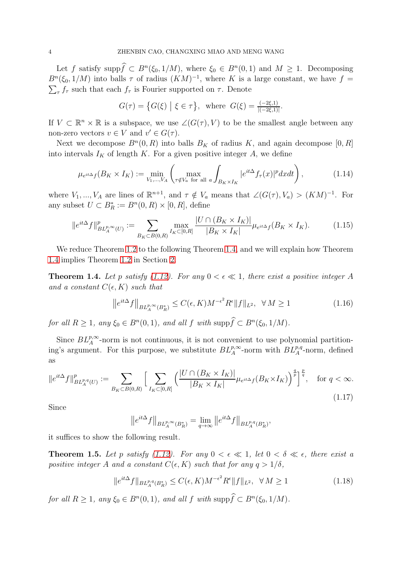Let f satisfy supp $\hat{f} \subset B^n(\xi_0, 1/M)$ , where  $\xi_0 \in B^n(0, 1)$  and  $M \ge 1$ . Decomposing  $B<sup>n</sup>(\xi_0, 1/M)$  into balls  $\tau$  of radius  $(KM)^{-1}$ , where K is a large constant, we have  $f =$  $\sum_{\tau} f_{\tau}$  such that each  $f_{\tau}$  is Fourier supported on  $\tau$ . Denote

$$
G(\tau) = \left\{ G(\xi) \mid \xi \in \tau \right\}, \text{ where } G(\xi) = \frac{(-2\xi, 1)}{|(-2\xi, 1)|}.
$$

If  $V \subset \mathbb{R}^n \times \mathbb{R}$  is a subspace, we use  $\angle(G(\tau), V)$  to be the smallest angle between any non-zero vectors  $v \in V$  and  $v' \in G(\tau)$ .

Next we decompose  $B<sup>n</sup>(0, R)$  into balls  $B<sub>K</sub>$  of radius K, and again decompose  $[0, R]$ into intervals  $I_K$  of length K. For a given positive integer A, we define

<span id="page-3-2"></span>
$$
\mu_{e^{it\Delta}f}(B_K \times I_K) := \min_{V_1, \dots, V_A} \left( \max_{\tau \notin V_a \text{ for all } a} \int_{B_K \times I_K} |e^{it\Delta} f_\tau(x)|^p dx dt \right), \tag{1.14}
$$

where  $V_1, ..., V_A$  are lines of  $\mathbb{R}^{n+1}$ , and  $\tau \notin V_a$  means that  $\angle(G(\tau), V_a) > (KM)^{-1}$ . For any subset  $U \subset B_R^* := B^n(0, R) \times [0, R]$ , define

$$
\|e^{it\Delta}f\|_{BL_A^{p,\infty}(U)}^p := \sum_{B_K \subset B(0,R)} \max_{I_K \subset [0,R]} \frac{|U \cap (B_K \times I_K)|}{|B_K \times I_K|} \mu_{e^{it\Delta}f}(B_K \times I_K). \tag{1.15}
$$

We reduce Theorem [1.2](#page-2-2) to the following Theorem [1.4,](#page-3-0) and we will explain how Theorem [1.4](#page-3-0) implies Theorem [1.2](#page-2-2) in Section [2.](#page-6-0)

<span id="page-3-0"></span>**Theorem 1.4.** Let p satisfy [\(1.12\)](#page-2-1). For any  $0 < \epsilon \ll 1$ , there exist a positive integer A and a constant  $C(\epsilon, K)$  such that

$$
\left\|e^{it\Delta}f\right\|_{BL_A^{p,\infty}(B_R^*)} \le C(\epsilon, K)M^{-\epsilon^2}R^{\epsilon}\|f\|_{L^2}, \quad \forall \ M \ge 1 \tag{1.16}
$$

for all  $R \geq 1$ , any  $\xi_0 \in B^n(0,1)$ , and all  $f$  with supp $f \subset B^n(\xi_0, 1/M)$ .

Since  $BL_A^{p,\infty}$ -norm is not continuous, it is not convenient to use polynomial partitioning's argument. For this purpose, we substitute  $BL_A^{p,\infty}$ -norm with  $BL_A^{p,q}$ -norm, defined as

$$
\|e^{it\Delta}f\|_{BL_A^{p,q}(U)}^p := \sum_{B_K \subset B(0,R)} \Big[ \sum_{I_K \subset [0,R]} \Big( \frac{|U \cap (B_K \times I_K)|}{|B_K \times I_K|} \mu_{e^{it\Delta}f}(B_K \times I_K) \Big)^{\frac{q}{p}} \Big]^{\frac{p}{q}}, \quad \text{for } q < \infty.
$$
\n(1.17)

Since

$$
\left\|e^{it\Delta}f\right\|_{BL^{p,\infty}_A(B_R^*)}=\lim_{q\to\infty}\left\|e^{it\Delta}f\right\|_{BL^{p,q}_A(B_R^*)},
$$

it suffices to show the following result.

<span id="page-3-1"></span>**Theorem 1.5.** Let p satisfy [\(1.12\)](#page-2-1). For any  $0 < \epsilon \ll 1$ , let  $0 < \delta \ll \epsilon$ , there exist a positive integer A and a constant  $C(\epsilon, K)$  such that for any  $q > 1/\delta$ ,

$$
||e^{it\Delta}f||_{BL_A^{p,q}(B_R^*)} \le C(\epsilon, K)M^{-\epsilon^2}R^{\epsilon}||f||_{L^2}, \ \ \forall \ M \ge 1
$$
\n(1.18)

for all  $R \geq 1$ , any  $\xi_0 \in B^n(0,1)$ , and all  $f$  with supp $f \subset B^n(\xi_0, 1/M)$ .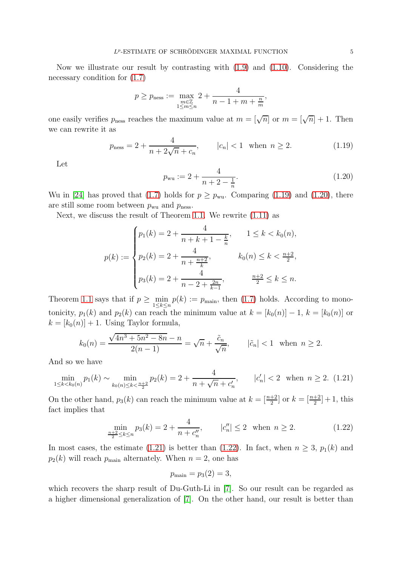Now we illustrate our result by contrasting with  $(1.9)$  and  $(1.10)$ . Considering the necessary condition for [\(1.7\)](#page-1-4)

$$
p \ge p_{\text{ness}} := \max_{\substack{m \in \mathbb{Z} \\ 1 \le m \le n}} 2 + \frac{4}{n - 1 + m + \frac{n}{m}},
$$

one easily verifies  $p_{\text{ness}}$  reaches the maximum value at  $m = \lfloor \sqrt{n} \rfloor$  or  $m = \lfloor \sqrt{n} \rfloor + 1$ . Then we can rewrite it as

<span id="page-4-0"></span>
$$
p_{\text{ness}} = 2 + \frac{4}{n + 2\sqrt{n} + c_n}, \qquad |c_n| < 1 \quad \text{when } n \ge 2. \tag{1.19}
$$

Let

<span id="page-4-1"></span>
$$
p_{\rm wu} := 2 + \frac{4}{n+2 - \frac{1}{n}}.\tag{1.20}
$$

Wu in [\[24\]](#page-32-12) has proved that [\(1.7\)](#page-1-4) holds for  $p \geq p_{\text{wu}}$ . Comparing [\(1.19\)](#page-4-0) and [\(1.20\)](#page-4-1), there are still some room between  $p_{\text{wu}}$  and  $p_{\text{ness}}$ .

Next, we discuss the result of Theorem [1.1.](#page-2-0) We rewrite [\(1.11\)](#page-2-4) as

$$
p(k) := \begin{cases} p_1(k) = 2 + \frac{4}{n+k+1-\frac{k}{n}}, & 1 \le k < k_0(n), \\ p_2(k) = 2 + \frac{4}{n+\frac{n+2}{k}}, & k_0(n) \le k < \frac{n+2}{2}, \\ p_3(k) = 2 + \frac{4}{n-2+\frac{2n}{k-1}}, & \frac{n+2}{2} \le k \le n. \end{cases}
$$

Theorem [1.1](#page-2-0) says that if  $p \ge \min_{1 \le k \le n} p(k) := p_{\text{main}}$ , then [\(1.7\)](#page-1-4) holds. According to monotonicity,  $p_1(k)$  and  $p_2(k)$  can reach the minimum value at  $k = [k_0(n)] - 1$ ,  $k = [k_0(n)]$  or  $k = [k_0(n)] + 1$ . Using Taylor formula,

$$
k_0(n) = \frac{\sqrt{4n^3 + 5n^2 - 8n} - n}{2(n-1)} = \sqrt{n} + \frac{\tilde{c}_n}{\sqrt{n}}, \qquad |\tilde{c}_n| < 1 \quad \text{when } n \ge 2.
$$

And so we have

<span id="page-4-2"></span>
$$
\min_{1 \le k < k_0(n)} p_1(k) \sim \min_{k_0(n) \le k < \frac{n+2}{2}} p_2(k) = 2 + \frac{4}{n + \sqrt{n} + c'_n}, \qquad |c'_n| < 2 \quad \text{when } n \ge 2. \tag{1.21}
$$

On the other hand,  $p_3(k)$  can reach the minimum value at  $k = \lfloor \frac{n+2}{2} \rfloor$  or  $k = \lfloor \frac{n+2}{2} \rfloor + 1$ , this fact implies that

<span id="page-4-3"></span>
$$
\min_{\frac{n+2}{2} \le k \le n} p_3(k) = 2 + \frac{4}{n + c_n''}, \qquad |c_n''| \le 2 \quad \text{when } n \ge 2. \tag{1.22}
$$

In most cases, the estimate [\(1.21\)](#page-4-2) is better than [\(1.22\)](#page-4-3). In fact, when  $n \geq 3$ ,  $p_1(k)$  and  $p_2(k)$  will reach  $p_{\text{main}}$  alternately. When  $n = 2$ , one has

$$
p_{\text{main}} = p_3(2) = 3,
$$

which recovers the sharp result of Du-Guth-Li in [\[7\]](#page-32-0). So our result can be regarded as a higher dimensional generalization of [\[7\]](#page-32-0). On the other hand, our result is better than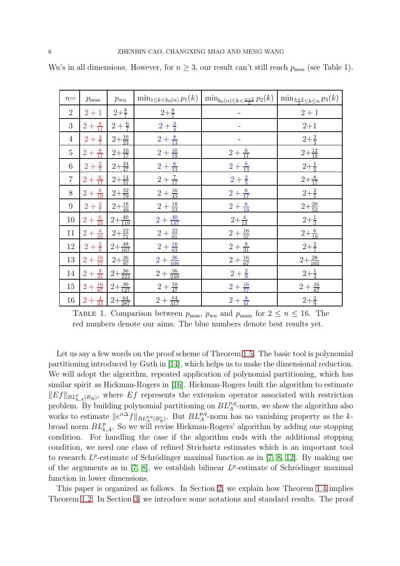| $n =$          | $p_{\rm mess}$                      | $p_{\text{wu}}$      | $\min_{1 \leq k < k_0(n)} p_1(k)$ | $\min_{k_0(n)\leq k < \frac{n+2}{2}} p_2(k)$ | $\left(\min_{\frac{k+2}{2}\leq k\leq n}p_3(k)\right)$ |
|----------------|-------------------------------------|----------------------|-----------------------------------|----------------------------------------------|-------------------------------------------------------|
| $\overline{2}$ | $2 + 1$                             | $2+\frac{8}{7}$      | $2+\frac{8}{7}$                   |                                              | $2 + 1$                                               |
| 3              | $2 + \frac{8}{11}$                  | $2 + \frac{6}{7}$    | $2 + \frac{3}{4}$                 |                                              | $2 + 1$                                               |
| $\overline{4}$ | $2 + \frac{4}{7}$                   | $2+\frac{16}{23}$    | $2 + \frac{8}{13}$                |                                              | $2+\frac{2}{3}$                                       |
| $\overline{5}$ | $2 + \frac{8}{17}$                  | $2 + \frac{10}{17}$  | $2 + \frac{10}{19}$               | $2+\frac{6}{11}$                             | $2 + \frac{12}{19}$                                   |
| $6\,$          | $2+\frac{2}{5}$                     | $2+\frac{24}{47}$    | $2 + \frac{6}{13}$                | $2 + \frac{6}{13}$                           | $2+\frac{1}{2}$                                       |
| $\overline{7}$ | $2+\frac{6}{17}$                    | $2+\frac{14}{31}$    | $2+\frac{7}{17}$                  | $2 + \frac{2}{5}$                            | $2+\frac{8}{17}$                                      |
| $8\,$          | $2 + \frac{6}{19}$                  | $2+\frac{32}{79}$    | $2+\frac{16}{43}$                 | $2+\frac{6}{17}$                             | $2+\frac{2}{5}$                                       |
| 9              | $2 + \frac{2}{7}$                   | $2+\frac{18}{49}$    | $2+\frac{18}{53}$                 | $2 + \frac{6}{19}$                           | $2+\frac{20}{53}$                                     |
| $10\,$         | $2+\frac{6}{23}$                    | $2 + \frac{40}{119}$ | $2 + \frac{40}{137}$              | $2+\frac{4}{13}$                             | $2+\frac{1}{3}$                                       |
| 11             | $2+\frac{6}{25}$                    | $2+\frac{22}{71}$    | $2 + \frac{22}{81}$               | $2+\frac{16}{57}$                            | $2+\frac{6}{19}$                                      |
| 12             | $2 + \frac{2}{9}$                   | $2+\frac{48}{167}$   | $2+\frac{16}{63}$                 | $2+\frac{8}{31}$                             | $2+\frac{2}{7}$                                       |
| 13             | $2+\frac{16}{77}$                   | $2+\frac{26}{97}$    | $2+\frac{26}{109}$                | $2+\frac{16}{67}$                            | $2 + \frac{28}{103}$                                  |
| 14             | $2+\frac{8}{41}$                    | $2+\frac{56}{223}$   | $2+\frac{56}{249}$                | $2 + \frac{2}{9}$                            | $2 + \frac{1}{4}$                                     |
| 15             | $2+\frac{16}{87}$                   | $2+\frac{30}{127}$   | $2+\frac{10}{47}$                 | $2+\frac{16}{77}$                            | $2+\frac{16}{67}$                                     |
| 16             | $2+\frac{4}{23}$ $2+\frac{64}{287}$ |                      | $2+\frac{64}{317}$                | $2+\frac{8}{41}$                             | $2+\frac{2}{9}$                                       |

Wu's in all dimensions. However, for  $n \geq 3$ , our result can't still reach  $p_{\text{ness}}$  (see Table 1).

TABLE 1. Comparison between  $p_{\text{ness}}$ ,  $p_{\text{wu}}$  and  $p_{\text{main}}$  for  $2 \le n \le 16$ . The red numbers denote our aims. The blue numbers denote best results yet.

Let us say a few words on the proof scheme of Theorem [1.5.](#page-3-1) The basic tool is polynomial partitioning introduced by Guth in [\[14\]](#page-32-13), which helps us to make the dimensional reduction. We will adopt the algorithm, repeated application of polynomial partitioning, which has similar spirit as Hickman-Rogers in [\[16\]](#page-32-15). Hickman-Rogers built the algorithm to estimate  $||Ef||_{BL_{k,A}^p(B_R)}$ , where  $Ef$  represents the extension operator associated with restriction problem. By building polynomial partitioning on  $BL_A^{p,q}$ -norm, we show the algorithm also works to estimate  $||e^{it\Delta} f||_{BL_A^{p,q}(B_R^*)}$ . But  $BL_A^{p,q}$ -norm has no vanishing property as the kbroad norm  $BL_{k,A}^p$ . So we will revise Hickman-Rogers' algorithm by adding one stopping condition. For handling the case if the algorithm ends with the additional stopping condition, we need one class of refined Strichartz estimates which is an important tool to research  $L^p$ -estimate of Schrödinger maximal function as in [\[7,](#page-32-0) [8,](#page-32-6) [12\]](#page-32-1). By making use of the arguments as in  $[7, 8]$  $[7, 8]$ , we establish bilinear  $L^p$ -estimate of Schrödinger maximal function in lower dimensions.

This paper is organized as follows. In Section [2,](#page-6-0) we explain how Theorem [1.4](#page-3-0) implies Theorem [1.2.](#page-2-2) In Section [3,](#page-7-0) we introduce some notations and standard results. The proof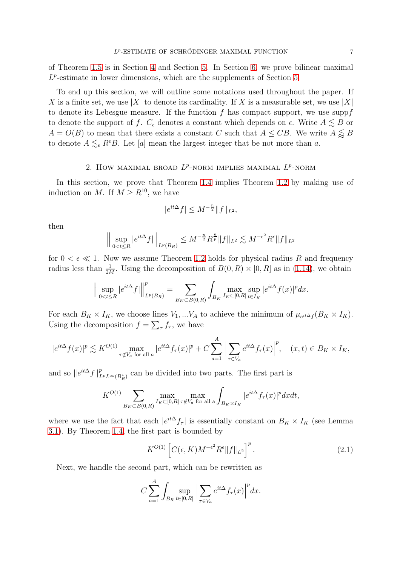of Theorem [1.5](#page-3-1) is in Section [4](#page-14-0) and Section [5.](#page-21-0) In Section [6,](#page-27-0) we prove bilinear maximal  $L^p$ -estimate in lower dimensions, which are the supplements of Section [5.](#page-21-0)

To end up this section, we will outline some notations used throughout the paper. If X is a finite set, we use |X| to denote its cardinality. If X is a measurable set, we use |X| to denote its Lebesgue measure. If the function  $f$  has compact support, we use supp $f$ to denote the support of f.  $C_{\epsilon}$  denotes a constant which depends on  $\epsilon$ . Write  $A \lesssim B$  or  $A = O(B)$  to mean that there exists a constant C such that  $A \leq CB$ . We write  $A \lessapprox B$ to denote  $A \lesssim_{\epsilon} R^{\epsilon}B$ . Let [a] mean the largest integer that be not more than a.

## 2. How MAXIMAL BROAD  $L^p$ -NORM IMPLIES MAXIMAL  $L^p$ -NORM

<span id="page-6-0"></span>In this section, we prove that Theorem [1.4](#page-3-0) implies Theorem [1.2](#page-2-2) by making use of induction on M. If  $M \geq R^{10}$ , we have

$$
|e^{it\Delta}f| \le M^{-\frac{n}{2}} \|f\|_{L^2},
$$

then

$$
\Big\|\sup_{0
$$

for  $0 < \epsilon \ll 1$ . Now we assume Theorem [1.2](#page-2-2) holds for physical radius R and frequency radius less than  $\frac{1}{2M}$ . Using the decomposition of  $B(0, R) \times [0, R]$  as in [\(1.14\)](#page-3-2), we obtain

$$
\Big\| \sup_{0 < t \le R} |e^{it\Delta} f| \Big\|_{L^p(B_R)}^p = \sum_{B_K \subset B(0,R)} \int_{B_K} \max_{I_K \subset [0,R]} \sup_{t \in I_K} |e^{it\Delta} f(x)|^p dx.
$$

For each  $B_K \times I_K$ , we choose lines  $V_1, ... V_A$  to achieve the minimum of  $\mu_{e^{it\Delta} f}(B_K \times I_K)$ . Using the decomposition  $f = \sum_{\tau} f_{\tau}$ , we have

$$
|e^{it\Delta}f(x)|^p \lesssim K^{O(1)} \max_{\tau \notin V_a \text{ for all } a} |e^{it\Delta}f_\tau(x)|^p + C \sum_{a=1}^A \Big| \sum_{\tau \in V_a} e^{it\Delta}f_\tau(x) \Big|^p, \quad (x, t) \in B_K \times I_K,
$$

and so  $||e^{it\Delta}f||^p_{L^pL^{\infty}(B_R^*)}$  can be divided into two parts. The first part is

$$
K^{O(1)}\sum_{B_K\subset B(0,R)}\max_{I_K\subset [0,R]}\max_{\tau\notin V_a\text{ for all a}}\int_{B_K\times I_K}|e^{it\Delta}f_\tau(x)|^p dxdt,
$$

where we use the fact that each  $|e^{it\Delta} f_\tau|$  is essentially constant on  $B_K \times I_K$  (see Lemma [3.1\)](#page-7-1). By Theorem [1.4,](#page-3-0) the first part is bounded by

<span id="page-6-1"></span>
$$
K^{O(1)}\left[C(\epsilon,K)M^{-\epsilon^2}R^{\epsilon}||f||_{L^2}\right]^p.
$$
\n(2.1)

Next, we handle the second part, which can be rewritten as

$$
C\sum_{a=1}^{A} \int_{B_R} \sup_{t \in [0,R]} \Big| \sum_{\tau \in V_a} e^{it\Delta} f_\tau(x) \Big|^p dx.
$$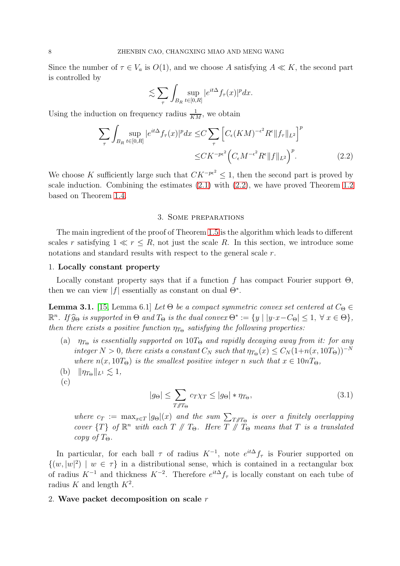Since the number of  $\tau \in V_a$  is  $O(1)$ , and we choose A satisfying  $A \ll K$ , the second part is controlled by

$$
\lesssim \sum_{\tau} \int_{B_R} \sup_{t \in [0,R]} |e^{it\Delta} f_\tau(x)|^p dx.
$$

Using the induction on frequency radius  $\frac{1}{KM}$ , we obtain

$$
\sum_{\tau} \int_{B_R} \sup_{t \in [0,R]} |e^{it\Delta} f_{\tau}(x)|^p dx \le C \sum_{\tau} \left[ C_{\epsilon} (KM)^{-\epsilon^2} R^{\epsilon} \|f_{\tau}\|_{L^2} \right]^p
$$
  

$$
\le CK^{-p\epsilon^2} \left( C_{\epsilon} M^{-\epsilon^2} R^{\epsilon} \|f\|_{L^2} \right)^p.
$$
 (2.2)

We choose K sufficiently large such that  $CK^{-p\epsilon^2} \leq 1$ , then the second part is proved by scale induction. Combining the estimates [\(2.1\)](#page-6-1) with [\(2.2\)](#page-7-2), we have proved Theorem [1.2](#page-2-2) based on Theorem [1.4.](#page-3-0)

### <span id="page-7-2"></span>3. Some preparations

<span id="page-7-0"></span>The main ingredient of the proof of Theorem [1.5](#page-3-1) is the algorithm which leads to different scales r satisfying  $1 \ll r \leq R$ , not just the scale R. In this section, we introduce some notations and standard results with respect to the general scale r.

#### 1. Locally constant property

Locally constant property says that if a function f has compact Fourier support  $\Theta$ , then we can view  $|f|$  essentially as constant on dual  $\Theta^*$ .

<span id="page-7-1"></span>**Lemma 3.1.** [\[15,](#page-32-16) Lemma 6.1] Let  $\Theta$  be a compact symmetric convex set centered at  $C_{\Theta} \in$  $\mathbb{R}^n$ . If  $\widehat{g}_{\Theta}$  is supported in  $\Theta$  and  $T_{\Theta}$  is the dual convex  $\Theta^* := \{y \mid |y \cdot x - C_{\Theta}| \leq 1, \forall x \in \Theta\},$ then there exists a positive function  $\eta_{T_{\Theta}}$  satisfying the following properties:

- (a)  $\eta_{T_{\Theta}}$  is essentially supported on 10T<sub> $_{\Theta}$ </sub> and rapidly decaying away from it: for any integer  $N > 0$ , there exists a constant  $C_N$  such that  $\eta_{T_{\Theta}}(x) \leq C_N(1+n(x,10T_{\Theta}))^{-N}$ where  $n(x, 10T_{\Theta})$  is the smallest positive integer n such that  $x \in 10nT_{\Theta}$ ,
- (b)  $\|\eta_{T_{\Theta}}\|_{L^1} \lesssim 1,$
- (c)

<span id="page-7-3"></span>
$$
|g_{\Theta}| \le \sum_{T \mathcal{J}T_{\Theta}} c_T \chi_T \le |g_{\Theta}| * \eta_{T_{\Theta}}, \tag{3.1}
$$

where  $c_T := \max_{x \in T} |g_{\Theta}|(x)$  and the sum  $\sum_{T/T_{\Theta}}$  is over a finitely overlapping cover  $\{T\}$  of  $\mathbb{R}^n$  with each  $T \nparallel T_{\Theta}$ . Here  $T \nparallel \widetilde{T}_{\Theta}$  means that  $T$  is a translated copy of  $T_{\Theta}$ .

In particular, for each ball  $\tau$  of radius  $K^{-1}$ , note  $e^{it\Delta} f_\tau$  is Fourier supported on  $\{(w, |w|^2) | w \in \tau\}$  in a distributional sense, which is contained in a rectangular box of radius  $K^{-1}$  and thickness  $K^{-2}$ . Therefore  $e^{it\Delta} f_\tau$  is locally constant on each tube of radius K and length  $K^2$ .

#### 2. Wave packet decomposition on scale  $r$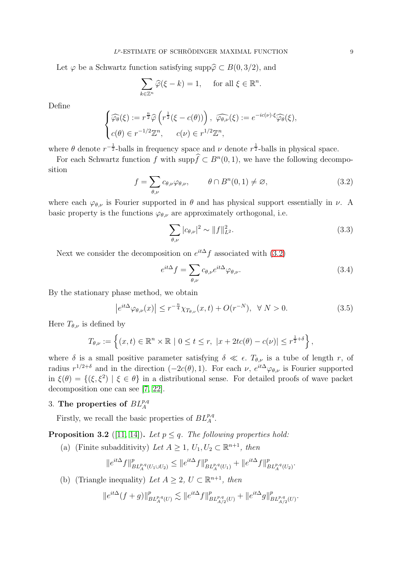Let  $\varphi$  be a Schwartz function satisfying supp $\widehat{\varphi} \subset B(0, 3/2)$ , and

$$
\sum_{k\in\mathbb{Z}^n}\widehat{\varphi}(\xi-k)=1,\quad\text{ for all }\xi\in\mathbb{R}^n.
$$

Define

$$
\begin{cases}\n\widehat{\varphi_{\theta}}(\xi) := r^{\frac{n}{2}} \widehat{\varphi} \left( r^{\frac{1}{2}} (\xi - c(\theta)) \right), \\
c(\theta) \in r^{-1/2} \mathbb{Z}^n, \\
c(\nu) \in r^{1/2} \mathbb{Z}^n,\n\end{cases}\n\widehat{c(\nu)} = e^{-ic(\nu) \cdot \xi} \widehat{\varphi_{\theta}}(\xi),
$$

where  $\theta$  denote  $r^{-\frac{1}{2}}$ -balls in frequency space and  $\nu$  denote  $r^{\frac{1}{2}}$ -balls in physical space.

For each Schwartz function f with  $\text{supp}\hat{f} \subset B^n(0, 1)$ , we have the following decomposition

<span id="page-8-0"></span>
$$
f = \sum_{\theta,\nu} c_{\theta,\nu} \varphi_{\theta,\nu}, \qquad \theta \cap B^n(0,1) \neq \varnothing,
$$
 (3.2)

where each  $\varphi_{\theta,\nu}$  is Fourier supported in  $\theta$  and has physical support essentially in  $\nu$ . A basic property is the functions  $\varphi_{\theta,\nu}$  are approximately orthogonal, i.e.

$$
\sum_{\theta,\nu} |c_{\theta,\nu}|^2 \sim ||f||_{L^2}^2.
$$
\n(3.3)

Next we consider the decomposition on  $e^{it\Delta} f$  associated with [\(3.2\)](#page-8-0)

$$
e^{it\Delta}f = \sum_{\theta,\nu} c_{\theta,\nu} e^{it\Delta} \varphi_{\theta,\nu}.
$$
\n(3.4)

By the stationary phase method, we obtain

$$
\left|e^{it\Delta}\varphi_{\theta,\nu}(x)\right| \le r^{-\frac{n}{4}}\chi_{T_{\theta,\nu}}(x,t) + O(r^{-N}), \quad \forall \ N > 0. \tag{3.5}
$$

Here  $T_{\theta,\nu}$  is defined by

$$
T_{\theta,\nu} := \left\{ (x,t) \in \mathbb{R}^n \times \mathbb{R} \mid 0 \le t \le r, \ |x + 2tc(\theta) - c(\nu)| \le r^{\frac{1}{2}+\delta} \right\},\
$$

where  $\delta$  is a small positive parameter satisfying  $\delta \ll \epsilon$ .  $T_{\theta,\nu}$  is a tube of length r, of radius  $r^{1/2+\delta}$  and in the direction  $(-2c(\theta), 1)$ . For each  $\nu$ ,  $e^{it\Delta}\varphi_{\theta,\nu}$  is Fourier supported in  $\xi(\theta) = \{(\xi, \xi^2) | \xi \in \theta\}$  in a distributional sense. For detailed proofs of wave packet decomposition one can see [\[7,](#page-32-0) [22\]](#page-32-17).

# 3. The properties of  $BL_A^{p,q}$

Firstly, we recall the basic properties of  $BL_A^{p,q}$ .

<span id="page-8-1"></span>**Proposition 3.2** ([\[11,](#page-32-14) [14\]](#page-32-13)). Let  $p \leq q$ . The following properties hold:

(a) (Finite subadditivity) Let  $A \geq 1$ ,  $U_1, U_2 \subset \mathbb{R}^{n+1}$ , then

$$
\|e^{it\Delta} f\|_{BL^{p,q}_A(U_1\cup U_2)}^p \le \|e^{it\Delta} f\|_{BL^{p,q}_A(U_1)}^p + \|e^{it\Delta} f\|_{BL^{p,q}_A(U_2)}^p.
$$

(b) (Triangle inequality) Let  $A \geq 2$ ,  $U \subset \mathbb{R}^{n+1}$ , then

$$
\|e^{it\Delta}(f+g)\|_{BL^{p,q}_{A}(U)}^p \lesssim \|e^{it\Delta}f\|_{BL^{p,q}_{A/2}(U)}^p + \|e^{it\Delta}g\|_{BL^{p,q}_{A/2}(U)}^p.
$$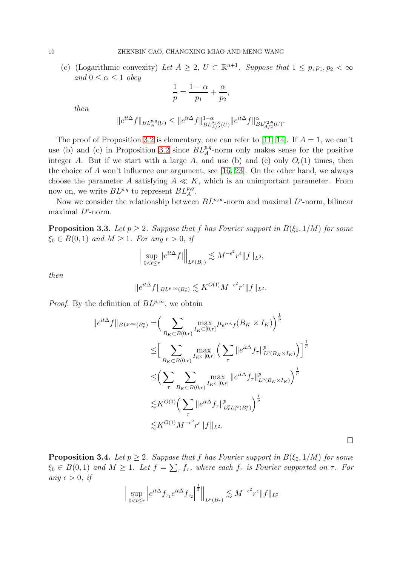(c) (Logarithmic convexity) Let  $A \geq 2$ ,  $U \subset \mathbb{R}^{n+1}$ . Suppose that  $1 \leq p, p_1, p_2 < \infty$ and  $0 \leq \alpha \leq 1$  obey

$$
\frac{1}{p} = \frac{1-\alpha}{p_1} + \frac{\alpha}{p_2},
$$

then

$$
\|e^{it\Delta}f\|_{{BL^{p,q}_A(U)}}\leq \|e^{it\Delta}f\|_{{BL^{p_1,q}_{A/2}(U)}}^{1-\alpha}\|e^{it\Delta}f\|^{\alpha}_{{BL^{p_2,q}_{A/2}(U)}}.
$$

The proof of Proposition [3.2](#page-8-1) is elementary, one can refer to [\[11,](#page-32-14) [14\]](#page-32-13). If  $A = 1$ , we can't use (b) and (c) in Proposition [3.2](#page-8-1) since  $BL_A^{p,q}$ -norm only makes sense for the positive integer A. But if we start with a large A, and use (b) and (c) only  $O_\epsilon(1)$  times, then the choice of  $A$  won't influence our argument, see [\[16,](#page-32-15) [23\]](#page-32-18). On the other hand, we always choose the parameter A satisfying  $A \ll K$ , which is an unimportant parameter. From now on, we write  $BL^{p,q}$  to represent  $BL^{p,q}_A$ .

Now we consider the relationship between  $BL^{p,\infty}$ -norm and maximal  $L^{p}$ -norm, bilinear maximal  $L^p$ -norm.

<span id="page-9-0"></span>**Proposition 3.3.** Let  $p \geq 2$ . Suppose that f has Fourier support in  $B(\xi_0, 1/M)$  for some  $\xi_0 \in B(0,1)$  and  $M \geq 1$ . For any  $\epsilon > 0$ , if

$$
\Big\| \sup_{0 < t \le r} |e^{it\Delta} f| \Big\|_{L^p(B_r)} \lesssim M^{-\epsilon^2} r^{\epsilon} \|f\|_{L^2},
$$

then

$$
\|e^{it\Delta}f\|_{BL^{p,\infty}(B_r^*)}\lesssim K^{O(1)}M^{-\epsilon^2}r^{\epsilon}\|f\|_{L^2}.
$$

*Proof.* By the definition of  $BL^{p,\infty}$ , we obtain

$$
||e^{it\Delta}f||_{BL^{p,\infty}(B_r^*)} = \Big(\sum_{B_K \subset B(0,r)} \max_{I_K \subset [0,r]} \mu_{e^{it\Delta}f}(B_K \times I_K)\Big)^{\frac{1}{p}}
$$
  
\n
$$
\leq \Big[\sum_{B_K \subset B(0,r)} \max_{I_K \subset [0,r]} \Big(\sum_{\tau} ||e^{it\Delta}f_{\tau}||_{L^p(B_K \times I_K)}^p\Big)\Big]^{\frac{1}{p}}
$$
  
\n
$$
\leq \Big(\sum_{\tau} \sum_{B_K \subset B(0,r)} \max_{I_K \subset [0,r]} ||e^{it\Delta}f_{\tau}||_{L^p(B_K \times I_K)}^p\Big)^{\frac{1}{p}}
$$
  
\n
$$
\lesssim K^{O(1)} \Big(\sum_{\tau} ||e^{it\Delta}f_{\tau}||_{L^p_x L^{\infty}_t(B_r^*)}^p\Big)^{\frac{1}{p}}
$$
  
\n
$$
\lesssim K^{O(1)} M^{-\epsilon^2} r^{\epsilon} ||f||_{L^2}.
$$

 $\Box$ 

<span id="page-9-1"></span>**Proposition 3.4.** Let  $p \geq 2$ . Suppose that f has Fourier support in  $B(\xi_0, 1/M)$  for some  $\xi_0 \in B(0,1)$  and  $M \geq 1$ . Let  $f = \sum_{\tau} f_{\tau}$ , where each  $f_{\tau}$  is Fourier supported on  $\tau$ . For any  $\epsilon > 0$ , if

$$
\Big\| \sup_{0 < t \le r} \Big| e^{it\Delta} f_{\tau_1} e^{it\Delta} f_{\tau_2} \Big|^{\frac{1}{2}} \Big\|_{L^p(B_r)} \lesssim M^{-\epsilon^2} r^{\epsilon} \|f\|_{L^2}
$$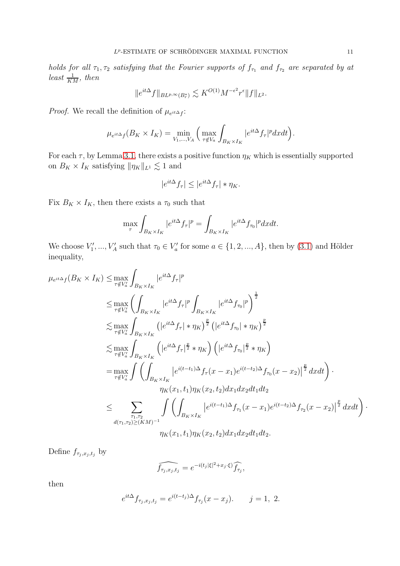holds for all  $\tau_1, \tau_2$  satisfying that the Fourier supports of  $f_{\tau_1}$  and  $f_{\tau_2}$  are separated by at least  $\frac{1}{KM}$ , then

$$
\|e^{it\Delta}f\|_{BL^{p,\infty}(B_r^*)}\lesssim K^{O(1)}M^{-\epsilon^2}r^{\epsilon}\|f\|_{L^2}.
$$

*Proof.* We recall the definition of  $\mu_{e^{it\Delta} f}$ :

$$
\mu_{e^{it\Delta}f}(B_K \times I_K) = \min_{V_1, \dots, V_A} \left( \max_{\tau \notin V_a} \int_{B_K \times I_K} |e^{it\Delta} f_\tau|^p dxdt \right).
$$

For each  $\tau$ , by Lemma [3.1,](#page-7-1) there exists a positive function  $\eta_K$  which is essentially supported on  $B_K \times I_K$  satisfying  $\|\eta_K\|_{L^1} \lesssim 1$  and

$$
|e^{it\Delta} f_\tau| \le |e^{it\Delta} f_\tau| * \eta_K.
$$

Fix  $B_K \times I_K$ , then there exists a  $\tau_0$  such that

$$
\max_{\tau} \int_{B_K \times I_K} |e^{it\Delta} f_\tau|^p = \int_{B_K \times I_K} |e^{it\Delta} f_{\tau_0}|^p dx dt.
$$

We choose  $V'_1, ..., V'_A$  such that  $\tau_0 \in V'_a$  for some  $a \in \{1, 2, ..., A\}$ , then by  $(3.1)$  and Hölder inequality,

$$
\mu_{e^{it\Delta}f}(B_{K} \times I_{K}) \leq \max_{\tau \notin V_{a}'} \int_{B_{K} \times I_{K}} |e^{it\Delta} f_{\tau}|^{p}
$$
\n
$$
\leq \max_{\tau \notin V_{a}'} \left( \int_{B_{K} \times I_{K}} |e^{it\Delta} f_{\tau}|^{p} \int_{B_{K} \times I_{K}} |e^{it\Delta} f_{\tau_{0}}|^{p} \right)^{\frac{1}{2}}
$$
\n
$$
\leq \max_{\tau \notin V_{a}'} \int_{B_{K} \times I_{K}} (|e^{it\Delta} f_{\tau}| * \eta_{K})^{\frac{p}{2}} (|e^{it\Delta} f_{\tau_{0}}| * \eta_{K})^{\frac{p}{2}}
$$
\n
$$
\leq \max_{\tau \notin V_{a}'} \int_{B_{K} \times I_{K}} (|e^{it\Delta} f_{\tau}|^{\frac{p}{2}} * \eta_{K}) (|e^{it\Delta} f_{\tau_{0}}|^{\frac{p}{2}} * \eta_{K})
$$
\n
$$
= \max_{\tau \notin V_{a}'} \int \left( \int_{B_{K} \times I_{K}} |e^{i(t-t_{1})\Delta} f_{\tau}(x - x_{1}) e^{i(t-t_{2})\Delta} f_{\tau_{0}}(x - x_{2})|^{2} dx dt \right) \cdot \eta_{K}(x_{1}, t_{1}) \eta_{K}(x_{2}, t_{2}) dx_{1} dx_{2} dt_{1} dt_{2}
$$
\n
$$
\leq \sum_{\tau_{1}, \tau_{2}'} \int \left( \int_{B_{K} \times I_{K}} |e^{i(t-t_{1})\Delta} f_{\tau_{1}}(x - x_{1}) e^{i(t-t_{2})\Delta} f_{\tau_{2}}(x - x_{2})|^{2} dx dt \right) \cdot \eta_{K}(x_{1}, t_{1}) \eta_{K}(x_{2}, t_{2}) dx_{1} dx_{2} dt_{1} dt_{2}.
$$

Define  $f_{\tau_j,x_j,t_j}$  by

$$
\widehat{f_{\tau_j,x_j,t_j}} = e^{-i(t_j|\xi|^2 + x_j \cdot \xi)} \widehat{f_{\tau_j}},
$$

then

$$
e^{it\Delta} f_{\tau_j, x_j, t_j} = e^{i(t-t_j)\Delta} f_{\tau_j}(x - x_j).
$$
   
  $j = 1, 2.$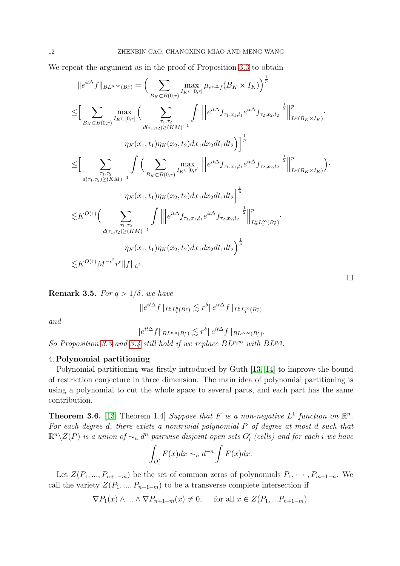We repeat the argument as in the proof of Proposition [3.3](#page-9-0) to obtain

$$
||e^{it\Delta}f||_{BL^{p,\infty}(B_r^*)} = \Big(\sum_{B_K \subset B(0,r)} \max_{I_K \subset [0,r]} \mu_{e^{it\Delta}f}(B_K \times I_K)\Big)^{\frac{1}{p}}
$$
  
\n
$$
\leq \Big[\sum_{B_K \subset B(0,r)} \max_{I_K \subset [0,r]} \Big(\sum_{d(\tau_1,\tau_2) \geq (KM)^{-1}} \int ||e^{it\Delta}f_{\tau_1,x_1,t_1}e^{it\Delta}f_{\tau_2,x_2,t_2}||^{\frac{1}{2}}||_{L^p(B_K \times I_K)}^p.
$$
  
\n
$$
\eta_K(x_1,t_1)\eta_K(x_2,t_2)dx_1dx_2dt_1dt_2\Big)\Big]^{\frac{1}{p}}
$$
  
\n
$$
\leq \Big[\sum_{d(\tau_1,\tau_2) \geq (KM)^{-1}} \int \Big(\sum_{B_K \subset B(0,r)} \max_{I_K \subset [0,r]} ||e^{it\Delta}f_{\tau_1,x_1,t_1}e^{it\Delta}f_{\tau_2,x_2,t_2}||^{\frac{1}{2}}||_{L^p(B_K \times I_K)}^p\Big).
$$
  
\n
$$
\eta_K(x_1,t_1)\eta_K(x_2,t_2)dx_1dx_2dt_1dt_2\Big]^{\frac{1}{p}}
$$
  
\n
$$
\lesssim K^{O(1)} \Big(\sum_{\tau_1,\tau_2} \int ||e^{it\Delta}f_{\tau_1,x_1,t_1}e^{it\Delta}f_{\tau_2,x_2,t_2}||^{\frac{1}{2}}||_{L^p_xL^\infty_t(B_r^*)}^p.
$$
  
\n
$$
\eta_K(x_1,t_1)\eta_K(x_2,t_2)dx_1dx_2dt_1dt_2\Big)^{\frac{1}{p}}
$$
  
\n
$$
\lesssim K^{O(1)}M^{-\epsilon^2}r^{\epsilon}||f||_{L^2}.
$$

<span id="page-11-0"></span>**Remark 3.5.** For  $q > 1/\delta$ , we have

$$
\|e^{it\Delta}f\|_{L^p_xL^q_t(B^*_r)}\lesssim r^{\delta}\|e^{it\Delta}f\|_{L^p_xL^\infty_t(B^*_r)}
$$

and

$$
\|e^{it\Delta}f\|_{BL^{p,q}(B_r^*)}\lesssim r^{\delta}\|e^{it\Delta}f\|_{BL^{p,\infty}(B_r^*)}.
$$

So Proposition [3.3](#page-9-0) and [3.4](#page-9-1) still hold if we replace  $BL^{p,\infty}$  with  $BL^{p,q}$ .

#### 4. Polynomial partitioning

Polynomial partitioning was firstly introduced by Guth [\[13,](#page-32-19) [14\]](#page-32-13) to improve the bound of restriction conjecture in three dimension. The main idea of polynomial partitioning is using a polynomial to cut the whole space to several parts, and each part has the same contribution.

**Theorem 3.6.** [\[13,](#page-32-19) Theorem 1.4] Suppose that F is a non-negative  $L^1$  function on  $\mathbb{R}^n$ . For each degree d, there exists a nontrivial polynomial P of degree at most d such that  $\mathbb{R}^n\backslash Z(P)$  is a union of  $\sim_n d^n$  pairwise disjoint open sets  $O_i'$  (cells) and for each  $i$  we have

$$
\int_{O_i'} F(x)dx \sim_n d^{-n} \int F(x)dx.
$$

Let  $Z(P_1, ..., P_{n+1-m})$  be the set of common zeros of polynomials  $P_1, \dots, P_{m+1-n}$ . We call the variety  $Z(P_1, ..., P_{n+1-m})$  to be a transverse complete intersection if

 $\nabla P_1(x) \wedge ... \wedge \nabla P_{n+1-m}(x) \neq 0$ , for all  $x \in Z(P_1,...P_{n+1-m})$ .

 $\Box$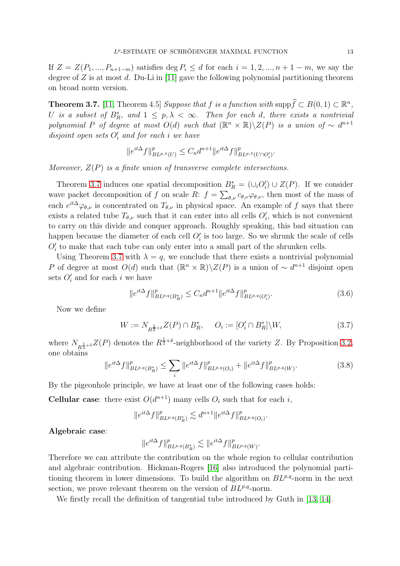If  $Z = Z(P_1, ..., P_{n+1-m})$  satisfies deg  $P_i \le d$  for each  $i = 1, 2, ..., n+1-m$ , we say the degree of  $Z$  is at most  $d$ . Du-Li in [\[11\]](#page-32-14) gave the following polynomial partitioning theorem on broad norm version.

<span id="page-12-0"></span>**Theorem 3.7.** [\[11,](#page-32-14) Theorem 4.5] Suppose that f is a function with  $\text{supp}\widehat{f} \subset B(0, 1) \subset \mathbb{R}^n$ , U is a subset of  $B_R^*$ , and  $1 \leq p, \lambda < \infty$ . Then for each d, there exists a nontrivial polynomial P of degree at most  $O(d)$  such that  $(\mathbb{R}^n \times \mathbb{R}) \backslash Z(P)$  is a union of  $\sim d^{n+1}$  $disjoint$  open sets  $O_i'$  and for each i we have

$$
\|e^{it\Delta}f\|_{BL^{p,\lambda}(U)}^p \leq C_n d^{n+1} \|e^{it\Delta}f\|_{BL^{p,\lambda}(U\cap O_i')}^p.
$$

Moreover,  $Z(P)$  is a finite union of transverse complete intersections.

Theorem [3.7](#page-12-0) induces one spatial decomposition  $B_R^* = (\cup_i O_i') \cup Z(P)$ . If we consider wave packet decomposition of f on scale R:  $f = \sum_{\theta,\nu} c_{\theta,\nu} \varphi_{\theta,\nu}$ , then most of the mass of each  $e^{it\Delta}\varphi_{\theta,\nu}$  is concentrated on  $T_{\theta,\nu}$  in physical space. An example of f says that there exists a related tube  $T_{\theta,\nu}$  such that it can enter into all cells  $O'_{i}$ , which is not convenient to carry on this divide and conquer approach. Roughly speaking, this bad situation can happen because the diameter of each cell  $O'_{i}$  is too large. So we shrunk the scale of cells  $O'_{i}$  to make that each tube can only enter into a small part of the shrunken cells.

Using Theorem [3.7](#page-12-0) with  $\lambda = q$ , we conclude that there exists a nontrivial polynomial P of degree at most  $O(d)$  such that  $(\mathbb{R}^n \times \mathbb{R}) \setminus Z(P)$  is a union of  $\sim d^{n+1}$  disjoint open sets  $O_i'$  and for each i we have

$$
||e^{it\Delta}f||_{BL^{p,q}(B_R^*)}^p \le C_n d^{n+1} ||e^{it\Delta}f||_{BL^{p,q}(O_i')}^p.
$$
\n(3.6)

Now we define

$$
W := N_{R^{\frac{1}{2}+\delta}} Z(P) \cap B_R^*, \quad O_i := [O_i' \cap B_R^*] \backslash W,
$$
\n(3.7)

where  $N_{R^{\frac{1}{2}+\delta}}Z(P)$  denotes the  $R^{\frac{1}{2}+\delta}$ -neighborhood of the variety Z. By Proposition [3.2,](#page-8-1) one obtains

$$
||e^{it\Delta}f||_{BL^{p,q}(B_R^*)}^p \le \sum_i ||e^{it\Delta}f||_{BL^{p,q}(O_i)}^p + ||e^{it\Delta}f||_{BL^{p,q}(W)}^p. \tag{3.8}
$$

By the pigeonhole principle, we have at least one of the following cases holds:

**Cellular case:** there exist  $O(d^{n+1})$  many cells  $O_i$  such that for each i,

$$
||e^{it\Delta}f||_{BL^{p,q}(B_R^*)}^p \lesssim d^{n+1}||e^{it\Delta}f||_{BL^{p,q}(O_i)}^p.
$$

Algebraic case:

$$
\|e^{it\Delta}f\|_{BL^{p,q}(B_R^*)}^p \lesssim \|e^{it\Delta}f\|_{BL^{p,q}(W)}^p.
$$

Therefore we can attribute the contribution on the whole region to cellular contribution and algebraic contribution. Hickman-Rogers [\[16\]](#page-32-15) also introduced the polynomial partitioning theorem in lower dimensions. To build the algorithm on  $BL^{p,q}$ -norm in the next section, we prove relevant theorem on the version of  $BL^{p,q}$ -norm.

We firstly recall the definition of tangential tube introduced by Guth in [\[13,](#page-32-19) [14\]](#page-32-13).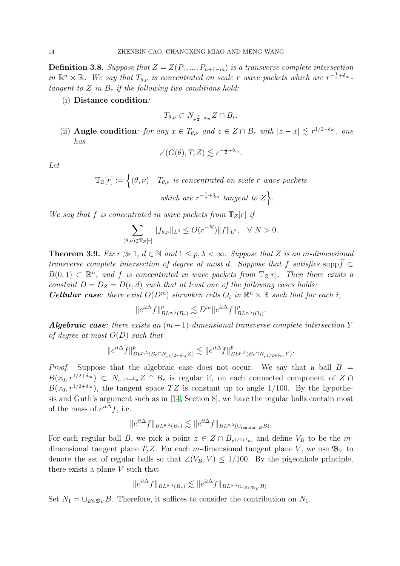<span id="page-13-1"></span>**Definition 3.8.** Suppose that  $Z = Z(P_1, ..., P_{n+1-m})$  is a transverse complete intersection in  $\mathbb{R}^n \times \mathbb{R}$ . We say that  $T_{\theta,\nu}$  is concentrated on scale r wave packets which are  $r^{-\frac{1}{2}+\delta_m}$ . tangent to  $Z$  in  $B_r$  if the following two conditions hold:

(i) Distance condition:

$$
T_{\theta,\nu} \subset N_{r^{\frac{1}{2}+\delta_m}} Z \cap B_r.
$$

(ii) **Angle condition**: for any  $x \in T_{\theta,\nu}$  and  $z \in Z \cap B_r$  with  $|z - x| \lesssim r^{1/2+\delta_m}$ , one has

$$
\angle(G(\theta), T_z Z) \lesssim r^{-\frac{1}{2} + \delta_m}.
$$

Let

 $\mathbb{T}_Z[r] := \Big\{ (\theta, \nu) \bigm| T_{\theta, \nu} \text{ is concentrated on scale } r \text{ wave packets}$ which are  $r^{-\frac{1}{2}+\delta_m}$  tangent to  $Z$ .

We say that f is concentrated in wave packets from  $\mathbb{T}_Z[r]$  if

$$
\sum_{(\theta,\nu)\notin \mathbb{T}_Z[r]} \|f_{\theta,\nu}\|_{L^2} \le O(r^{-N})\|f\|_{L^2}, \quad \forall \ N > 0.
$$

<span id="page-13-0"></span>**Theorem 3.9.** Fix  $r \gg 1$ ,  $d \in \mathbb{N}$  and  $1 \leq p, \lambda < \infty$ . Suppose that Z is an m-dimensional transverse complete intersection of degree at most d. Suppose that f satisfies supp $\widehat{f} \subset$  $B(0,1) \subset \mathbb{R}^n$ , and f is concentrated in wave packets from  $\mathbb{T}_Z[r]$ . Then there exists a constant  $D = D_Z = D(\epsilon, d)$  such that at least one of the following cases holds: **Cellular case:** there exist  $O(D^m)$  shrunken cells  $O_i$  in  $\mathbb{R}^n \times \mathbb{R}$  such that for each i,

$$
\|e^{it\Delta}f\|_{BL^{p,\lambda}(B_r)}^p\lesssim D^m\|e^{it\Delta}f\|_{BL^{p,\lambda}(O_i)}^p.
$$

**Algebraic case:** there exists an  $(m-1)$ -dimensional transverse complete intersection Y of degree at most  $O(D)$  such that

$$
\|e^{it\Delta}f\|^p_{BL^{p,\lambda}(B_r\cap N_{r^{1/2+\delta_m}}Z)}\lesssim \|e^{it\Delta}f\|^p_{BL^{p,\lambda}(B_r\cap N_{r^{1/2+\delta_m}}Y)}.
$$

*Proof.* Suppose that the algebraic case does not occur. We say that a ball  $B =$  $B(x_0, r^{1/2+\delta_m}) \subset N_{r^{1/2+\delta_m}} Z \cap B_r$  is regular if, on each connected component of  $Z \cap B_r$  $B(x_0, r^{1/2+\delta_m})$ , the tangent space TZ is constant up to angle 1/100. By the hypothesis and Guth's argument such as in [\[14,](#page-32-13) Section 8], we have the regular balls contain most of the mass of  $e^{it\Delta} f$ , i.e.

$$
\|e^{it\Delta}f\|_{BL^{p,\lambda}(B_r)} \lesssim \|e^{it\Delta}f\|_{BL^{p,\lambda}(\cup_{\text{regular }B}B)}.
$$

For each regular ball B, we pick a point  $z \in Z \cap B_{r^{1/2+\delta_m}}$  and define  $V_B$  to be the mdimensional tangent plane  $T_zZ$ . For each m-dimensional tangent plane V, we use  $\mathfrak{B}_V$  to denote the set of regular balls so that  $\angle(V_B, V) \leq 1/100$ . By the pigeonhole principle, there exists a plane V such that

$$
||e^{it\Delta}f||_{BL^{p,\lambda}(B_r)} \lesssim ||e^{it\Delta}f||_{BL^{p,\lambda}(\cup_{B\in\mathfrak{B}_V}B)}.
$$

Set  $N_1 = \bigcup_{B \in \mathfrak{B}_V} B$ . Therefore, it suffices to consider the contribution on  $N_1$ .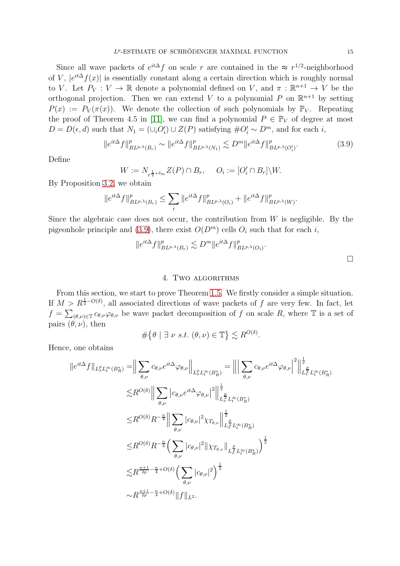Since all wave packets of  $e^{it\Delta} f$  on scale r are contained in the  $\approx r^{1/2}$ -neighborhood of V,  $|e^{it\Delta}f(x)|$  is essentially constant along a certain direction which is roughly normal to V. Let  $P_V: V \to \mathbb{R}$  denote a polynomial defined on V, and  $\pi: \mathbb{R}^{n+1} \to V$  be the orthogonal projection. Then we can extend V to a polynomial P on  $\mathbb{R}^{n+1}$  by setting  $P(x) := P_V(\pi(x))$ . We denote the collection of such polynomials by  $\mathbb{P}_V$ . Repeating the proof of Theorem 4.5 in [\[11\]](#page-32-14), we can find a polynomial  $P \in \mathbb{P}_V$  of degree at most  $D = D(\epsilon, d)$  such that  $N_1 = (\cup_i O'_i) \cup Z(P)$  satisfying  $\#O'_i \sim D^m$ , and for each *i*,

<span id="page-14-1"></span>
$$
\|e^{it\Delta}f\|_{BL^{p,\lambda}(B_r)}^p \sim \|e^{it\Delta}f\|_{BL^{p,\lambda}(N_1)}^p \lesssim D^m \|e^{it\Delta}f\|_{BL^{p,\lambda}(O_i')}^p. \tag{3.9}
$$

Define

$$
W := N_{r^{\frac{1}{2} + \delta_m}} Z(P) \cap B_r, \quad O_i := [O'_i \cap B_r] \backslash W.
$$

By Proposition [3.2,](#page-8-1) we obtain

$$
\|e^{it\Delta}f\|_{BL^{p,\lambda}(B_r)}^p\leq \sum_i\|e^{it\Delta}f\|_{BL^{p,\lambda}(O_i)}^p+\|e^{it\Delta}f\|_{BL^{p,\lambda}(W)}^p.
$$

Since the algebraic case does not occur, the contribution from  $W$  is negligible. By the pigeonhole principle and [\(3.9\)](#page-14-1), there exist  $O(D<sup>m</sup>)$  cells  $O<sub>i</sub>$  such that for each i,

$$
||e^{it\Delta}f||_{BL^{p,\lambda}(B_r)}^p \lesssim D^m ||e^{it\Delta}f||_{BL^{p,\lambda}(O_i)}^p.
$$

#### 4. Two algorithms

<span id="page-14-0"></span>From this section, we start to prove Theorem [1.5.](#page-3-1) We firstly consider a simple situation. If  $M > R^{\frac{1}{2}-O(\delta)}$ , all associated directions of wave packets of f are very few. In fact, let  $f = \sum_{(\theta,\nu) \in \mathbb{T}} c_{\theta,\nu} \varphi_{\theta,\nu}$  be wave packet decomposition of f on scale R, where  $\mathbb{T}$  is a set of pairs  $(\theta, \nu)$ , then

$$
\#\big\{\theta \mid \exists \ \nu \ s.t. \ (\theta,\nu) \in \mathbb{T}\big\} \lesssim R^{O(\delta)}.
$$

Hence, one obtains

$$
||e^{it\Delta}f||_{L_x^p L_v^{\infty}(B_R^*)} = \Big\|\sum_{\theta,\nu} c_{\theta,\nu}e^{it\Delta}\varphi_{\theta,\nu}\Big\|_{L_x^p L_v^{\infty}(B_R^*)} = \Big\|\Big|\sum_{\theta,\nu} c_{\theta,\nu}e^{it\Delta}\varphi_{\theta,\nu}\Big|^2\Big\|_{L_x^p L_v^{\infty}(B_R^*)}^{\frac{1}{2}}
$$
  

$$
\lesssim R^{O(\delta)}\Big\|\sum_{\theta,\nu}|c_{\theta,\nu}e^{it\Delta}\varphi_{\theta,\nu}|^2\Big\|_{L_x^p L_v^{\infty}(B_R^*)}^{\frac{1}{2}}
$$
  

$$
\leq R^{O(\delta)}R^{-\frac{n}{4}}\Big\|\sum_{\theta,\nu}|c_{\theta,\nu}|^2\chi_{T_{\theta,\nu}}\Big\|_{L_x^p L_v^{\infty}(B_R^*)}^{\frac{1}{2}}
$$
  

$$
\leq R^{O(\delta)}R^{-\frac{n}{4}}\Big(\sum_{\theta,\nu}|c_{\theta,\nu}|^2\|\chi_{T_{\theta,\nu}}\|_{L_x^p L_v^{\infty}(B_R^*)}^{\frac{1}{2}}\Big)^{\frac{1}{2}}
$$
  

$$
\lesssim R^{\frac{n+1}{2p}-\frac{n}{4}+O(\delta)}\Big(\sum_{\theta,\nu}|c_{\theta,\nu}|^2\Big)^{\frac{1}{2}}
$$
  

$$
\sim R^{\frac{n+1}{2p}-\frac{n}{4}+O(\delta)}\|f\|_{L^2}.
$$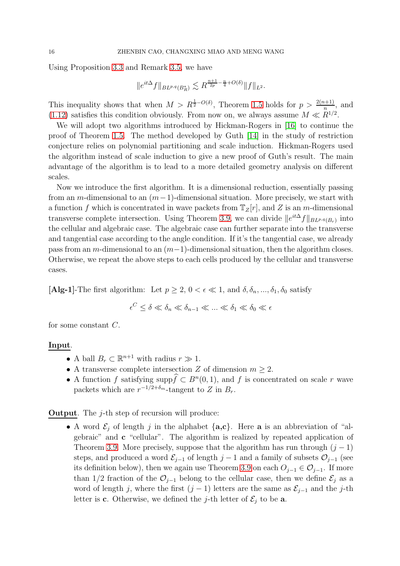Using Proposition [3.3](#page-9-0) and Remark [3.5,](#page-11-0) we have

$$
||e^{it\Delta}f||_{BL^{p,q}(B_R^*)} \lesssim R^{\frac{n+1}{2p} - \frac{n}{4} + O(\delta)} ||f||_{L^2}.
$$

This inequality shows that when  $M > R^{\frac{1}{2}-O(\delta)}$ , Theorem [1.5](#page-3-1) holds for  $p > \frac{2(n+1)}{n}$ , and [\(1.12\)](#page-2-1) satisfies this condition obviously. From now on, we always assume  $M \ll R^{1/2}$ .

We will adopt two algorithms introduced by Hickman-Rogers in [\[16\]](#page-32-15) to continue the proof of Theorem [1.5.](#page-3-1) The method developed by Guth [\[14\]](#page-32-13) in the study of restriction conjecture relies on polynomial partitioning and scale induction. Hickman-Rogers used the algorithm instead of scale induction to give a new proof of Guth's result. The main advantage of the algorithm is to lead to a more detailed geometry analysis on different scales.

Now we introduce the first algorithm. It is a dimensional reduction, essentially passing from an m-dimensional to an  $(m-1)$ -dimensional situation. More precisely, we start with a function f which is concentrated in wave packets from  $T_z[r]$ , and Z is an m-dimensional transverse complete intersection. Using Theorem [3.9,](#page-13-0) we can divide  $||e^{it\Delta}f||_{BL^{p,q}(B_r)}$  into the cellular and algebraic case. The algebraic case can further separate into the transverse and tangential case according to the angle condition. If it's the tangential case, we already pass from an m-dimensional to an  $(m-1)$ -dimensional situation, then the algorithm closes. Otherwise, we repeat the above steps to each cells produced by the cellular and transverse cases.

[Alg-1]-The first algorithm: Let  $p \geq 2, 0 < \epsilon \ll 1$ , and  $\delta, \delta_n, ..., \delta_1, \delta_0$  satisfy

$$
\epsilon^C \le \delta \ll \delta_n \ll \delta_{n-1} \ll \ldots \ll \delta_1 \ll \delta_0 \ll \epsilon
$$

for some constant C.

## Input.

- A ball  $B_r \subset \mathbb{R}^{n+1}$  with radius  $r \gg 1$ .
- A transverse complete intersection Z of dimension  $m \geq 2$ .
- A function f satisfying supp $f \subset B<sup>n</sup>(0, 1)$ , and f is concentrated on scale r wave packets which are  $r^{-1/2+\delta_m}$ -tangent to Z in  $B_r$ .

**Output**. The  $j$ -th step of recursion will produce:

• A word  $\mathcal{E}_j$  of length j in the alphabet  $\{a,c\}$ . Here **a** is an abbreviation of "algebraic" and c "cellular". The algorithm is realized by repeated application of Theorem [3.9.](#page-13-0) More precisely, suppose that the algorithm has run through  $(j - 1)$ steps, and produced a word  $\mathcal{E}_{j-1}$  of length j − 1 and a family of subsets  $\mathcal{O}_{j-1}$  (see its definition below), then we again use Theorem [3.9](#page-13-0) on each  $O_{i-1} \in \mathcal{O}_{i-1}$ . If more than 1/2 fraction of the  $\mathcal{O}_{j-1}$  belong to the cellular case, then we define  $\mathcal{E}_j$  as a word of length j, where the first  $(j-1)$  letters are the same as  $\mathcal{E}_{j-1}$  and the j-th letter is c. Otherwise, we defined the j-th letter of  $\mathcal{E}_i$  to be a.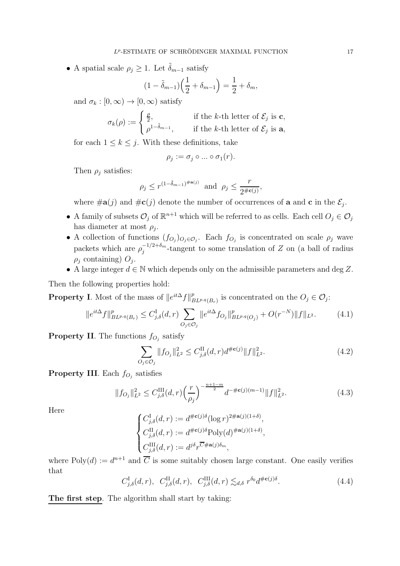• A spatial scale  $\rho_j \geq 1$ . Let  $\tilde{\delta}_{m-1}$  satisfy

$$
(1 - \tilde{\delta}_{m-1}) \left(\frac{1}{2} + \delta_{m-1}\right) = \frac{1}{2} + \delta_m,
$$

and  $\sigma_k : [0, \infty) \to [0, \infty)$  satisfy

$$
\sigma_k(\rho) := \begin{cases} \frac{\rho}{2}, & \text{if the } k\text{-th letter of } \mathcal{E}_j \text{ is } \mathbf{c}, \\ \rho^{1-\tilde{\delta}_{m-1}}, & \text{if the } k\text{-th letter of } \mathcal{E}_j \text{ is } \mathbf{a}, \end{cases}
$$

for each  $1 \leq k \leq j$ . With these definitions, take

$$
\rho_j := \sigma_j \circ \dots \circ \sigma_1(r).
$$

Then  $\rho_j$  satisfies:

$$
\rho_j \le r^{(1-\tilde{\delta}_{m-1})^{\#\mathbf{a}(j)}} \quad \text{and} \quad \rho_j \le \frac{r}{2^{\#\mathbf{c}(j)}},
$$

where  $\#\mathbf{a}(j)$  and  $\#\mathbf{c}(j)$  denote the number of occurrences of **a** and **c** in the  $\mathcal{E}_j$ .

- A family of subsets  $\mathcal{O}_j$  of  $\mathbb{R}^{n+1}$  which will be referred to as cells. Each cell  $O_j \in \mathcal{O}_j$ has diameter at most  $\rho_j$ .
- A collection of functions  $(f_{O_j})_{O_j \in O_j}$ . Each  $f_{O_j}$  is concentrated on scale  $\rho_j$  wave packets which are  $\rho_i^{-1/2+\delta_m}$  $j^{-(1/2+ \delta_m)}$ -tangent to some translation of Z on (a ball of radius  $\rho_j$  containing)  $O_j$ .
- A large integer  $d \in \mathbb{N}$  which depends only on the admissible parameters and deg Z.

Then the following properties hold:

**Property I.** Most of the mass of  $||e^{it\Delta}f||_F^p$  $P_{BL^{p,q}(B_r)}$  is concentrated on the  $O_j \in \mathcal{O}_j$ :

$$
||e^{it\Delta}f||_{BL^{p,q}(B_r)}^p \leq C_{j,\delta}^{\mathrm{I}}(d,r) \sum_{O_j \in \mathcal{O}_j} ||e^{it\Delta} f_{O_j}||_{BL^{p,q}(O_j)}^p + O(r^{-N})||f||_{L^2}.
$$
 (4.1)

**Property II**. The functions  $f_{O_j}$  satisfy

$$
\sum_{O_j \in \mathcal{O}_j} \|f_{O_j}\|_{L^2}^2 \le C_{j,\delta}^{\mathcal{II}}(d,r)d^{\#\mathbf{c}(j)}\|f\|_{L^2}^2.
$$
\n(4.2)

**Property III**. Each  $f_{O_j}$  satisfies

$$
||f_{O_j}||_{L^2}^2 \le C_{j,\delta}^{\text{III}}(d,r) \left(\frac{r}{\rho_j}\right)^{-\frac{n+1-m}{2}} d^{-\#\mathbf{c}(j)(m-1)} ||f||_{L^2}^2.
$$
 (4.3)

Here

$$
\begin{cases} C_{j,\delta}^{\mathrm{I}}(d,r) := d^{\#\mathbf{c}(j)\delta} (\log r)^{2\#\mathbf{a}(j)(1+\delta)}, \\ C_{j,\delta}^{\mathrm{II}}(d,r) := d^{\#\mathbf{c}(j)\delta} \mathrm{Poly}(d)^{\#\mathbf{a}(j)(1+\delta)}, \\ C_{j,\delta}^{\mathrm{III}}(d,r) := d^{j\delta} r^{\overline{C}\#\mathbf{a}(j)\delta_m}, \end{cases}
$$

where  $Poly(d) := d^{n+1}$  and  $\overline{C}$  is some suitably chosen large constant. One easily verifies that

<span id="page-16-0"></span>
$$
C_{j,\delta}^{\mathrm{I}}(d,r), \quad C_{j,\delta}^{\mathrm{II}}(d,r), \quad C_{j,\delta}^{\mathrm{III}}(d,r) \lesssim_{d,\delta} r^{\delta_0} d^{\#\mathbf{c}(j)\delta}.\tag{4.4}
$$

The first step. The algorithm shall start by taking: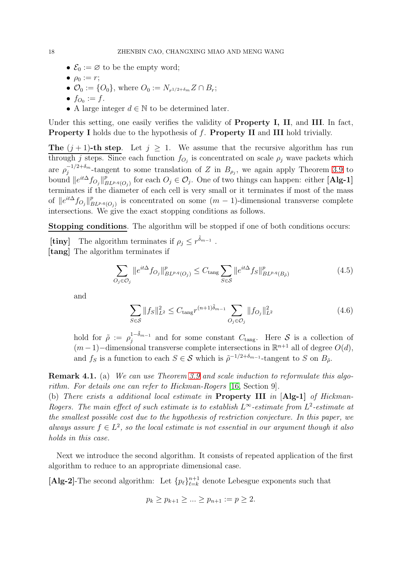- $\mathcal{E}_0 := \varnothing$  to be the empty word;
- $\rho_0 := r;$
- $\mathcal{O}_0 := \{O_0\}$ , where  $O_0 := N_{r^{1/2 + \delta_m}} Z \cap B_r$ ;
- $f_{O_0} := f$ .
- A large integer  $d \in \mathbb{N}$  to be determined later.

Under this setting, one easily verifies the validity of **Property I, II**, and **III**. In fact, **Property I** holds due to the hypothesis of  $f$ . **Property II** and **III** hold trivially.

**The**  $(j + 1)$ -th step. Let  $j \ge 1$ . We assume that the recursive algorithm has run through j steps. Since each function  $f_{O_j}$  is concentrated on scale  $\rho_j$  wave packets which are  $\rho_i^{-1/2+\delta_m}$  $j^{-(1/2+0_m)}$ -tangent to some translation of Z in  $B_{\rho_j}$ , we again apply Theorem [3.9](#page-13-0) to bound  $||e^{it\Delta}f_{O_j}||_F^p$  $P_{BL^{p,q}(O_j)}^p$  for each  $O_j \in \mathcal{O}_j$ . One of two things can happen: either [Alg-1] terminates if the diameter of each cell is very small or it terminates if most of the mass of  $||e^{it\Delta}f_{O_j}||_E^p$  $P_{BL^{p,q}(O_j)}$  is concentrated on some  $(m-1)$ -dimensional transverse complete intersections. We give the exact stopping conditions as follows.

Stopping conditions. The algorithm will be stopped if one of both conditions occurs:

**[tiny]** The algorithm terminates if  $\rho_j \leq r^{\tilde{\delta}_{m-1}}$ . [tang] The algorithm terminates if

$$
\sum_{O_j \in \mathcal{O}_j} \|e^{it\Delta} f_{O_j}\|_{BL^{p,q}(O_j)}^p \le C_{\text{tang}} \sum_{S \in \mathcal{S}} \|e^{it\Delta} f_S\|_{BL^{p,q}(B_{\tilde{\rho}})}^p \tag{4.5}
$$

and

$$
\sum_{S \in \mathcal{S}} \|f_S\|_{L^2}^2 \le C_{\text{tang}} r^{(n+1)\tilde{\delta}_{m-1}} \sum_{O_j \in \mathcal{O}_j} \|f_{O_j}\|_{L^2}^2 \tag{4.6}
$$

hold for  $\tilde{\rho} := \rho_j^{1-\tilde{\delta}_{m-1}}$  $j^{1-\sigma_{m-1}}$  and for some constant  $C_{\text{tang}}$ . Here  $\mathcal{S}$  is a collection of  $(m-1)$ –dimensional transverse complete intersections in  $\mathbb{R}^{n+1}$  all of degree  $O(d)$ , and  $f_S$  is a function to each  $S \in \mathcal{S}$  which is  $\tilde{\rho}^{-1/2+\delta_{m-1}}$ -tangent to S on  $B_{\tilde{\rho}}$ .

Remark 4.1. (a) We can use Theorem [3.9](#page-13-0) and scale induction to reformulate this algorithm. For details one can refer to Hickman-Rogers [\[16,](#page-32-15) Section 9].

(b) There exists a additional local estimate in Property III in [Alg-1] of Hickman-Rogers. The main effect of such estimate is to establish  $L^{\infty}$ -estimate from  $L^2$ -estimate at the smallest possible cost due to the hypothesis of restriction conjecture. In this paper, we always assure  $f \in L^2$ , so the local estimate is not essential in our argument though it also holds in this case.

Next we introduce the second algorithm. It consists of repeated application of the first algorithm to reduce to an appropriate dimensional case.

 $[\mathbf{Alg}\text{-}\mathbf{2}]$  The second algorithm: Let  $\{p_\ell\}_{\ell=k}^{n+1}$  $\ell_{k=k}^{n+1}$  denote Lebesgue exponents such that

$$
p_k \ge p_{k+1} \ge ... \ge p_{n+1} := p \ge 2.
$$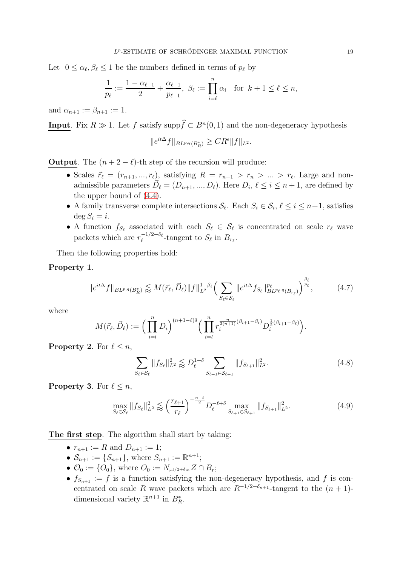Let  $0 \leq \alpha_{\ell}, \beta_{\ell} \leq 1$  be the numbers defined in terms of  $p_{\ell}$  by

$$
\frac{1}{p_{\ell}} := \frac{1 - \alpha_{\ell-1}}{2} + \frac{\alpha_{\ell-1}}{p_{\ell-1}}, \ \beta_{\ell} := \prod_{i=\ell}^{n} \alpha_i \quad \text{for } k+1 \leq \ell \leq n,
$$

and  $\alpha_{n+1} := \beta_{n+1} := 1$ .

**Input**. Fix  $R \gg 1$ . Let f satisfy supp $f \subset B<sup>n</sup>(0, 1)$  and the non-degeneracy hypothesis

$$
||e^{it\Delta}f||_{BL^{p,q}(B_R^*)} \geq CR^{\epsilon}||f||_{L^2}.
$$

**Output**. The  $(n + 2 - \ell)$ -th step of the recursion will produce:

- Scales  $\vec{r}_{\ell} = (r_{n+1},...,r_{\ell})$ , satisfying  $R = r_{n+1} > r_n > ... > r_{\ell}$ . Large and nonadmissible parameters  $\vec{D}_{\ell} = (D_{n+1}, ..., D_{\ell})$ . Here  $D_i, \ell \leq i \leq n+1$ , are defined by the upper bound of [\(4.4\)](#page-16-0).
- A family transverse complete intersections  $S_{\ell}$ . Each  $S_i \in S_i$ ,  $\ell \leq i \leq n+1$ , satisfies  $\deg S_i = i.$
- A function  $f_{S_\ell}$  associated with each  $S_\ell \in \mathcal{S}_\ell$  is concentrated on scale  $r_\ell$  wave packets which are  $r_{\ell}^{-1/2+\delta_{\ell}}$  $e^{-1/2+o_{\ell}}$ -tangent to  $S_{\ell}$  in  $B_{r_{\ell}}$ .

Then the following properties hold:

#### Property 1.

$$
||e^{it\Delta}f||_{BL^{p,q}(B_R^*)} \lessapprox M(\vec{r}_{\ell}, \vec{D}_{\ell})||f||_{L^2}^{1-\beta_{\ell}} \Big(\sum_{S_{\ell} \in \mathcal{S}_{\ell}} ||e^{it\Delta}f_{S_{\ell}}||_{BL^{p_{\ell},q}(B_{r_{\ell}})}^{p_{\ell}}\Big)^{\frac{\beta_{\ell}}{p_{\ell}}},\tag{4.7}
$$

where

$$
M(\vec{r}_{\ell}, \vec{D}_{\ell}) := \bigg(\prod_{i=l}^{n} D_i\bigg)^{(n+1-\ell)\delta} \bigg(\prod_{i=l}^{n} r_i^{\frac{n}{2(n+1)}(\beta_{i+1}-\beta_i)} D_i^{\frac{1}{2}(\beta_{i+1}-\beta_{\ell})}\bigg).
$$

**Property 2.** For  $\ell \leq n$ ,

$$
\sum_{S_{\ell} \in \mathcal{S}_{\ell}} \|f_{S_{\ell}}\|_{L^2}^2 \lessapprox D_{\ell}^{1+\delta} \sum_{S_{\ell+1} \in \mathcal{S}_{\ell+1}} \|f_{S_{\ell+1}}\|_{L^2}^2.
$$
\n(4.8)

**Property 3.** For  $\ell \leq n$ ,

$$
\max_{S_{\ell} \in \mathcal{S}_{\ell}} \| f_{S_{\ell}} \|_{L^2}^2 \lesssim \left( \frac{r_{\ell+1}}{r_{\ell}} \right)^{-\frac{n-\ell}{2}} D_{\ell}^{-\ell+\delta} \max_{S_{\ell+1} \in \mathcal{S}_{\ell+1}} \| f_{S_{\ell+1}} \|_{L^2}^2. \tag{4.9}
$$

The first step. The algorithm shall start by taking:

- $r_{n+1} := R$  and  $D_{n+1} := 1$ ;
- $S_{n+1} := \{S_{n+1}\}\text{, where } S_{n+1} := \mathbb{R}^{n+1}\text{;}$
- $\mathcal{O}_0 := \{O_0\}$ , where  $O_0 := N_{r^{1/2 + \delta_m}} Z \cap B_r$ ;
- $f_{S_{n+1}} := f$  is a function satisfying the non-degeneracy hypothesis, and f is concentrated on scale R wave packets which are  $R^{-1/2+\delta_{n+1}}$ -tangent to the  $(n + 1)$ dimensional variety  $\mathbb{R}^{n+1}$  in  $B_R^*$ .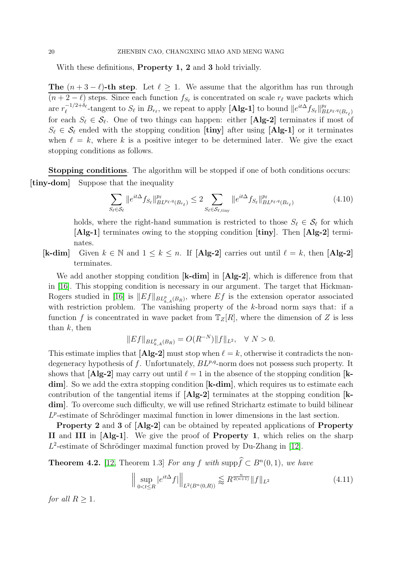With these definitions, **Property 1, 2** and 3 hold trivially.

**The**  $(n+3-\ell)$ -th step. Let  $\ell \geq 1$ . We assume that the algorithm has run through  $(n+2-\ell)$  steps. Since each function  $f_{S_{\ell}}$  is concentrated on scale  $r_{\ell}$  wave packets which are  $r_{\ell}^{-1/2+\delta_{\ell}}$  $\mathcal{L}_{\ell}^{-1/2+\delta_{\ell}}$ -tangent to  $S_{\ell}$  in  $B_{r_{\ell}}$ , we repeat to apply [Alg-1] to bound  $||e^{it\Delta}f_{S_{\ell}}||_{BL^{p_{\ell},q}(B_{r_{\ell}})}^{p_{\ell}}$ for each  $S_{\ell} \in \mathcal{S}_{\ell}$ . One of two things can happen: either [Alg-2] terminates if most of  $S_{\ell} \in \mathcal{S}_{\ell}$  ended with the stopping condition [tiny] after using [Alg-1] or it terminates when  $\ell = k$ , where k is a positive integer to be determined later. We give the exact stopping conditions as follows.

Stopping conditions. The algorithm will be stopped if one of both conditions occurs: [tiny-dom] Suppose that the inequality

$$
\sum_{S_{\ell} \in \mathcal{S}_{\ell}} \|e^{it\Delta} f_{S_{\ell}}\|_{BL^{p_{\ell},q}(B_{r_{\ell}})}^{p_{\ell}} \leq 2 \sum_{S_{\ell} \in \mathcal{S}_{\ell, \text{tiny}}} \|e^{it\Delta} f_{S_{\ell}}\|_{BL^{p_{\ell},q}(B_{r_{\ell}})}^{p_{\ell}} \tag{4.10}
$$

holds, where the right-hand summation is restricted to those  $S_{\ell} \in \mathcal{S}_{\ell}$  for which [Alg-1] terminates owing to the stopping condition [tiny]. Then [Alg-2] terminates.

[k-dim] Given  $k \in \mathbb{N}$  and  $1 \leq k \leq n$ . If [Alg-2] carries out until  $\ell = k$ , then [Alg-2] terminates.

We add another stopping condition [k-dim] in [Alg-2], which is difference from that in [\[16\]](#page-32-15). This stopping condition is necessary in our argument. The target that Hickman-Rogers studied in [\[16\]](#page-32-15) is  $||Ef||_{BL_{k,A}^p(B_R)}$ , where  $Ef$  is the extension operator associated with restriction problem. The vanishing property of the k-broad norm says that: if a function f is concentrated in wave packet from  $T_Z[R]$ , where the dimension of Z is less than  $k$ , then

$$
||Ef||_{BL_{k,A}^p(B_R)} = O(R^{-N})||f||_{L^2}, \quad \forall \ N > 0.
$$

This estimate implies that  $[\mathbf{Alg-2}]$  must stop when  $\ell = k$ , otherwise it contradicts the nondegeneracy hypothesis of f. Unfortunately,  $BL^{p,q}$ -norm does not possess such property. It shows that  $[\text{Alg-2}]$  may carry out until  $\ell = 1$  in the absence of the stopping condition  $[k$ dim. So we add the extra stopping condition [k-dim], which requires us to estimate each contribution of the tangential items if [Alg-2] terminates at the stopping condition [kdim. To overcome such difficulty, we will use refined Strichartz estimate to build bilinear  $L^p$ -estimate of Schrödinger maximal function in lower dimensions in the last section.

Property 2 and 3 of [Alg-2] can be obtained by repeated applications of Property II and III in [Alg-1]. We give the proof of Property 1, which relies on the sharp  $L^2$ -estimate of Schrödinger maximal function proved by Du-Zhang in [\[12\]](#page-32-1).

<span id="page-19-0"></span>**Theorem 4.2.** [\[12,](#page-32-1) Theorem 1.3] For any f with supp $\hat{f} \subset B^n(0, 1)$ , we have

$$
\left\| \sup_{0 < t \le R} |e^{it\Delta} f| \right\|_{L^2(B^n(0,R))} \lesssim R^{\frac{n}{2(n+1)}} \|f\|_{L^2} \tag{4.11}
$$

for all  $R \geq 1$ .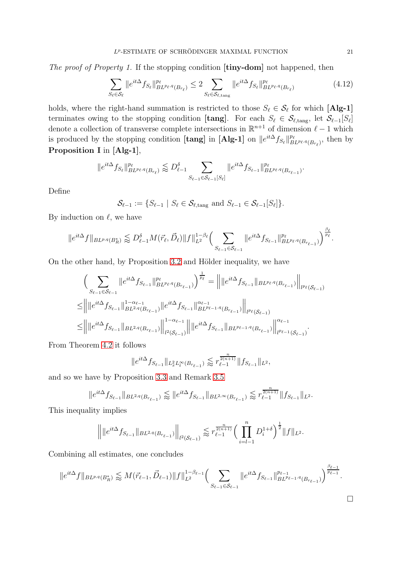The proof of Property 1. If the stopping condition  $[\text{tiny-dom}]$  not happened, then

$$
\sum_{S_{\ell} \in \mathcal{S}_{\ell}} \|e^{it\Delta} f_{S_{\ell}}\|_{BL^{p_{\ell},q}(B_{r_{\ell}})}^{p_{\ell}} \leq 2 \sum_{S_{\ell} \in \mathcal{S}_{\ell,\text{tang}}} \|e^{it\Delta} f_{S_{\ell}}\|_{BL^{p_{\ell},q}(B_{r_{\ell}})}^{p_{\ell}} \tag{4.12}
$$

holds, where the right-hand summation is restricted to those  $S_{\ell} \in \mathcal{S}_{\ell}$  for which [Alg-1] terminates owing to the stopping condition [tang]. For each  $S_{\ell} \in \mathcal{S}_{\ell, \text{tang}}$ , let  $\mathcal{S}_{\ell-1}[S_{\ell}]$ denote a collection of transverse complete intersections in  $\mathbb{R}^{n+1}$  of dimension  $\ell - 1$  which is produced by the stopping condition [tang] in [Alg-1] on  $||e^{it\Delta} f_{S_{\ell}}||_{BL^{p_{\ell},q}(B_{r_{\ell}})}^{p_{\ell}}$ , then by Proposition I in [Alg-1],

$$
\|e^{it\Delta}f_{S_\ell}\|_{BL^{p_\ell,q}(B_{r_\ell})}^{p_\ell}\lessapprox D_{\ell-1}^\delta\sum_{S_{\ell-1}\in\mathcal{S}_{\ell-1}[S_\ell]}\|e^{it\Delta}f_{S_{\ell-1}}\|_{BL^{p_\ell,q}(B_{r_{\ell-1}})}^{p_\ell}.
$$

Define

 $\mathcal{S}_{\ell-1} := \{ S_{\ell-1} \mid S_{\ell} \in \mathcal{S}_{\ell, \text{tang}} \text{ and } S_{\ell-1} \in \mathcal{S}_{\ell-1}[S_{\ell}]\}.$ 

By induction on  $\ell$ , we have

$$
||e^{it\Delta}f||_{BL^{p,q}(B_R^*)} \lesssim D_{\ell-1}^{\delta}M(\vec{r}_{\ell}, \vec{D}_{\ell})||f||_{L^2}^{1-\beta_{\ell}} \Big(\sum_{S_{\ell-1} \in S_{\ell-1}} ||e^{it\Delta}f_{S_{\ell-1}}||_{BL^{p_{\ell},q}(B_{r_{\ell-1}})}^{p_{\ell}}\Big)^{\frac{\beta_{\ell}}{p_{\ell}}}.
$$

On the other hand, by Proposition [3.2](#page-8-1) and Hölder inequality, we have

$$
\begin{split}\n&\left(\sum_{S_{\ell-1}\in\mathcal{S}_{\ell-1}}\|e^{it\Delta}f_{S_{\ell-1}}\|_{BL^{p_{\ell},q}(B_{r_{\ell-1}})}^{p_{\ell}}\right)^{\frac{1}{p_{\ell}}}=\left\||e^{it\Delta}f_{S_{\ell-1}}\|_{BL^{p_{\ell},q}(B_{r_{\ell-1}})}\right\|_{l^{p_{\ell}}(\mathcal{S}_{\ell-1})} \\
&\leq\left\||e^{it\Delta}f_{S_{\ell-1}}\|_{BL^{2,q}(B_{r_{\ell-1}})}^{1-\alpha_{\ell-1}}\|e^{it\Delta}f_{S_{\ell-1}}\|_{BL^{p_{\ell-1},q}(B_{r_{\ell-1}})}^{2\alpha_{\ell-1}}\right\|_{l^{p_{\ell}}(\mathcal{S}_{\ell-1})} \\
&\leq\left\||e^{it\Delta}f_{S_{\ell-1}}\|_{BL^{2,q}(B_{r_{\ell-1}})}\right\|_{l^{2}(\mathcal{S}_{\ell-1})}^{1-\alpha_{\ell-1}}\left\||e^{it\Delta}f_{S_{\ell-1}}\|_{BL^{p_{\ell-1},q}(B_{r_{\ell-1}})}\right\|_{l^{p_{\ell-1}}(\mathcal{S}_{\ell-1})}^{2\alpha_{\ell-1}}.\n\end{split}
$$

From Theorem [4.2](#page-19-0) it follows

$$
\|e^{it\Delta} f_{S_{\ell-1}}\|_{L_x^2 L_t^{\infty}(B_{r_{\ell-1}})} \lesssim r_{\ell-1}^{\frac{n}{2(n+1)}} \|f_{S_{\ell-1}}\|_{L^2},
$$

and so we have by Proposition [3.3](#page-9-0) and Remark [3.5](#page-11-0)

$$
\|e^{it\Delta} f_{S_{\ell-1}}\|_{BL^{2,q}(B_{r_{\ell-1}})} \lessapprox \|e^{it\Delta} f_{S_{\ell-1}}\|_{BL^{2,\infty}(B_{r_{\ell-1}})} \lessapprox r_{\ell-1}^{\frac{n}{2(n+1)}} \|f_{S_{\ell-1}}\|_{L^2}.
$$

This inequality implies

$$
\left\||e^{it\Delta}f_{S_{\ell-1}}\|_{BL^{2,q}(B_{r_{\ell-1}})}\right\|_{l^2(\mathcal{S}_{\ell-1})}\lessapprox r_{\ell-1}^{\frac{n}{2(n+1)}}\Big(\prod_{i=l-1}^nD_i^{1+\delta}\Big)^{\frac{1}{2}}\|f\|_{L^2}.
$$

Combining all estimates, one concludes

$$
||e^{it\Delta}f||_{BL^{p,q}(B_R^*)} \lesssim M(\vec{r}_{\ell-1}, \vec{D}_{\ell-1}) ||f||_{L^2}^{1-\beta_{\ell-1}} \Big(\sum_{S_{\ell-1} \in S_{\ell-1}} ||e^{it\Delta}f_{S_{\ell-1}}||_{BL^{p_{\ell-1},q}(B_{r_{\ell-1}})}^{p_{\ell-1}}\Big)^{\frac{\beta_{\ell-1}}{p_{\ell-1}}}.
$$

 $\Box$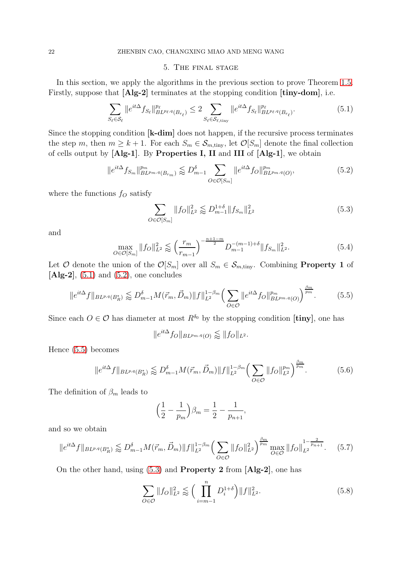#### 5. The final stage

<span id="page-21-0"></span>In this section, we apply the algorithms in the previous section to prove Theorem [1.5.](#page-3-1) Firstly, suppose that [Alg-2] terminates at the stopping condition [tiny-dom], i.e.

<span id="page-21-1"></span>
$$
\sum_{S_{\ell} \in \mathcal{S}_{\ell}} \|e^{it\Delta} f_{S_{\ell}}\|_{BL^{p_{\ell}, q}(B_{r_{\ell}})}^{p_{\ell}} \leq 2 \sum_{S_{\ell} \in \mathcal{S}_{\ell, \text{tiny}}} \|e^{it\Delta} f_{S_{\ell}}\|_{BL^{p_{\ell}, q}(B_{r_{\ell}})}^{p_{\ell}}.
$$
\n(5.1)

Since the stopping condition [k-dim] does not happen, if the recursive process terminates the step m, then  $m \geq k+1$ . For each  $S_m \in S_{m,\text{tiny}}$ , let  $\mathcal{O}[S_m]$  denote the final collection of cells output by [Alg-1]. By Properties I, II and III of [Alg-1], we obtain

<span id="page-21-2"></span>
$$
||e^{it\Delta} f_{S_m}||_{BL^{pm,q}(B_{r_m})}^{p_m} \lessapprox D_{m-1}^{\delta} \sum_{O \in \mathcal{O}[S_m]} ||e^{it\Delta} f_O||_{BL^{pm,q}(O)}^{p_m}, \tag{5.2}
$$

where the functions  $f<sub>O</sub>$  satisfy

<span id="page-21-4"></span>
$$
\sum_{O \in \mathcal{O}[S_m]} \|f_O\|_{L^2}^2 \lessapprox D_{m-1}^{1+\delta} \|f_{S_m}\|_{L^2}^2 \tag{5.3}
$$

and

<span id="page-21-5"></span>
$$
\max_{O \in \mathcal{O}[S_m]} \|f_O\|_{L^2}^2 \lessapprox \left(\frac{r_m}{r_{m-1}}\right)^{-\frac{n+1-m}{2}} D_{m-1}^{-(m-1)+\delta} \|f_{S_m}\|_{L^2}^2. \tag{5.4}
$$

Let O denote the union of the  $\mathcal{O}[S_m]$  over all  $S_m \in \mathcal{S}_{m,\text{tiny}}$ . Combining **Property 1** of  $[Alg-2]$ ,  $(5.1)$  and  $(5.2)$ , one concludes

<span id="page-21-3"></span>
$$
||e^{it\Delta}f||_{BL^{p,q}(B_R^*)} \lesssim D_{m-1}^{\delta} M(\vec{r}_m, \vec{D}_m) ||f||_{L^2}^{1-\beta_m} \Big(\sum_{O \in \mathcal{O}} ||e^{it\Delta}f_O||_{BL^{p_m,q}(O)}^{p_m}\Big)^{\frac{\beta_m}{p_m}}.\tag{5.5}
$$

Since each  $O \in \mathcal{O}$  has diameter at most  $R^{\delta_0}$  by the stopping condition [tiny], one has

$$
||e^{it\Delta} f_O||_{BL^{pm,q}(O)} \lessapprox ||f_O||_{L^2}.
$$

Hence [\(5.5\)](#page-21-3) becomes

$$
||e^{it\Delta}f||_{BL^{p,q}(B_R^*)} \lesssim D_{m-1}^{\delta}M(\vec{r}_m, \vec{D}_m)||f||_{L^2}^{1-\beta_m} \Big(\sum_{O \in \mathcal{O}}||f_O||_{L^2}^{p_m}\Big)^{\frac{\beta_m}{p_m}}.\tag{5.6}
$$

The definition of  $\beta_m$  leads to

$$
\left(\frac{1}{2} - \frac{1}{p_m}\right)\beta_m = \frac{1}{2} - \frac{1}{p_{n+1}},
$$

and so we obtain

<span id="page-21-6"></span>
$$
||e^{it\Delta}f||_{BL^{p,q}(B_R^*)} \lesssim D_{m-1}^{\delta}M(\vec{r}_m, \vec{D}_m)||f||_{L^2}^{1-\beta_m} \Big(\sum_{O \in \mathcal{O}} ||f_O||_{L^2}^2\Big)^{\frac{\beta_m}{p_m}} \max_{O \in \mathcal{O}} ||f_O||_{L^2}^{1-\frac{2}{p_{n+1}}}. \tag{5.7}
$$

On the other hand, using [\(5.3\)](#page-21-4) and Property 2 from [Alg-2], one has

<span id="page-21-7"></span>
$$
\sum_{O \in \mathcal{O}} \|f_O\|_{L^2}^2 \lessapprox \Big(\prod_{i=m-1}^n D_i^{1+\delta}\Big) \|f\|_{L^2}^2.
$$
 (5.8)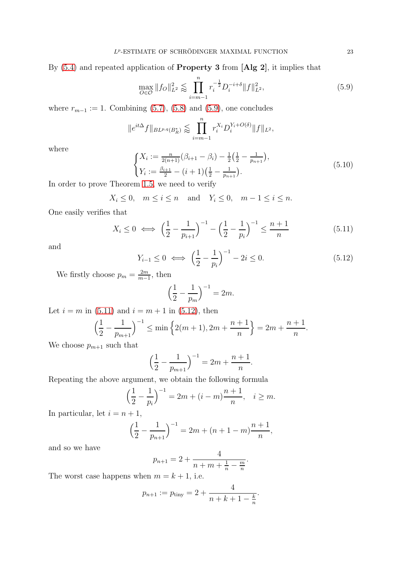By [\(5.4\)](#page-21-5) and repeated application of Property 3 from [Alg 2], it implies that

<span id="page-22-0"></span>
$$
\max_{O \in \mathcal{O}} \|f_O\|_{L^2}^2 \lesssim \prod_{i=m-1}^n r_i^{-\frac{1}{2}} D_i^{-i+\delta} \|f\|_{L^2}^2,\tag{5.9}
$$

where  $r_{m-1} := 1$ . Combining [\(5.7\)](#page-21-6), [\(5.8\)](#page-21-7) and [\(5.9\)](#page-22-0), one concludes

$$
||e^{it\Delta}f||_{BL^{p,q}(B_R^*)} \lesssim \prod_{i=m-1}^n r_i^{X_i} D_i^{Y_i + O(\delta)} ||f||_{L^2},
$$

where

<span id="page-22-3"></span>
$$
\begin{cases}\nX_i := \frac{n}{2(n+1)} (\beta_{i+1} - \beta_i) - \frac{1}{2} (\frac{1}{2} - \frac{1}{p_{n+1}}), \\
Y_i := \frac{\beta_{i+1}}{2} - (i+1) (\frac{1}{2} - \frac{1}{p_{n+1}}).\n\end{cases}
$$
\n(5.10)

In order to prove Theorem [1.5,](#page-3-1) we need to verify

$$
X_i \le 0, \quad m \le i \le n \quad \text{and} \quad Y_i \le 0, \quad m - 1 \le i \le n.
$$

One easily verifies that

<span id="page-22-1"></span>
$$
X_i \le 0 \iff \left(\frac{1}{2} - \frac{1}{p_{i+1}}\right)^{-1} - \left(\frac{1}{2} - \frac{1}{p_i}\right)^{-1} \le \frac{n+1}{n} \tag{5.11}
$$

and

<span id="page-22-2"></span>
$$
Y_{i-1} \le 0 \iff \left(\frac{1}{2} - \frac{1}{p_i}\right)^{-1} - 2i \le 0. \tag{5.12}
$$

We firstly choose  $p_m = \frac{2m}{m}$  $\frac{2m}{m-1}$ , then

$$
\left(\frac{1}{2} - \frac{1}{p_m}\right)^{-1} = 2m.
$$

Let  $i = m$  in [\(5.11\)](#page-22-1) and  $i = m + 1$  in [\(5.12\)](#page-22-2), then

$$
\left(\frac{1}{2} - \frac{1}{p_{m+1}}\right)^{-1} \le \min\left\{2(m+1), 2m + \frac{n+1}{n}\right\} = 2m + \frac{n+1}{n}.
$$

We choose  $p_{m+1}$  such that

$$
\left(\frac{1}{2} - \frac{1}{p_{m+1}}\right)^{-1} = 2m + \frac{n+1}{n}.
$$

Repeating the above argument, we obtain the following formula

$$
\left(\frac{1}{2} - \frac{1}{p_i}\right)^{-1} = 2m + (i - m)\frac{n+1}{n}, \quad i \ge m.
$$

In particular, let  $i = n + 1$ ,

$$
\left(\frac{1}{2} - \frac{1}{p_{n+1}}\right)^{-1} = 2m + (n+1-m)\frac{n+1}{n},
$$

and so we have

$$
p_{n+1} = 2 + \frac{4}{n+m+\frac{1}{n}-\frac{m}{n}}.
$$

The worst case happens when  $m = k + 1$ , i.e.

$$
p_{n+1} := p_{\text{tiny}} = 2 + \frac{4}{n+k+1-\frac{k}{n}}.
$$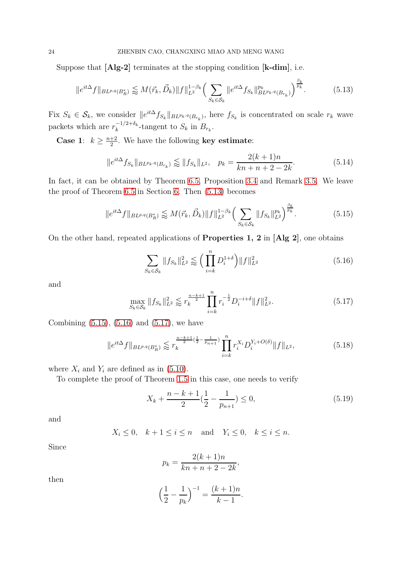Suppose that [Alg-2] terminates at the stopping condition [k-dim], i.e.

<span id="page-23-0"></span>
$$
||e^{it\Delta}f||_{BL^{p,q}(B_R^*)} \lessapprox M(\vec{r}_k, \vec{D}_k) ||f||_{L^2}^{1-\beta_k} \Big(\sum_{S_k \in \mathcal{S}_k} ||e^{it\Delta}f_{S_k}||_{BL^{p_k,q}(B_{r_k})}^{p_k}\Big)^{\frac{\beta_k}{p_k}}.
$$
(5.13)

Fix  $S_k \in \mathcal{S}_k$ , we consider  $||e^{it\Delta} f_{S_k}||_{BL^{p_k,q}(B_{r_k})}$ , here  $f_{S_k}$  is concentrated on scale  $r_k$  wave packets which are  $r_k^{-1/2+\delta_k}$  $k_k^{-1/2+o_k}$ -tangent to  $S_k$  in  $B_{r_k}$ .

**Case 1**:  $k \geq \frac{n+2}{2}$  $\frac{+2}{2}$ . We have the following **key estimate**:

<span id="page-23-5"></span>
$$
||e^{it\Delta} f_{S_k}||_{BL^{p_k,q}(B_{r_k})} \lesssim ||f_{S_k}||_{L^2}, \quad p_k = \frac{2(k+1)n}{kn+n+2-2k}.
$$
 (5.14)

In fact, it can be obtained by Theorem [6.5,](#page-28-0) Proposition [3.4](#page-9-1) and Remark [3.5.](#page-11-0) We leave the proof of Theorem [6.5](#page-28-0) in Section [6.](#page-27-0) Then [\(5.13\)](#page-23-0) becomes

<span id="page-23-1"></span>
$$
||e^{it\Delta}f||_{BL^{p,q}(B_R^*)} \lesssim M(\vec{r}_k, \vec{D}_k) ||f||_{L^2}^{1-\beta_k} \Big(\sum_{S_k \in \mathcal{S}_k} ||f_{S_k}||_{L^2}^{p_k}\Big)^{\frac{\beta_k}{p_k}}.
$$
 (5.15)

On the other hand, repeated applications of Properties 1, 2 in [Alg 2], one obtains

<span id="page-23-2"></span>
$$
\sum_{S_k \in \mathcal{S}_k} \|f_{S_k}\|_{L^2}^2 \lessapprox \left(\prod_{i=k}^n D_i^{1+\delta}\right) \|f\|_{L^2}^2 \tag{5.16}
$$

and

<span id="page-23-3"></span>
$$
\max_{S_k \in \mathcal{S}_k} \|f_{S_k}\|_{L^2}^2 \lessapprox r_k^{\frac{n-k+1}{2}} \prod_{i=k}^n r_i^{-\frac{1}{2}} D_i^{-i+\delta} \|f\|_{L^2}^2. \tag{5.17}
$$

Combining  $(5.15)$ ,  $(5.16)$  and  $(5.17)$ , we have

$$
||e^{it\Delta}f||_{BL^{p,q}(B_R^*)} \lesssim r_k^{\frac{n-k+1}{2}(\frac{1}{2}-\frac{1}{p_{n+1}})} \prod_{i=k}^n r_i^{X_i} D_i^{Y_i+O(\delta)} ||f||_{L^2},
$$
\n(5.18)

where  $X_i$  and  $Y_i$  are defined as in [\(5.10\)](#page-22-3).

To complete the proof of Theorem [1.5](#page-3-1) in this case, one needs to verify

<span id="page-23-4"></span>
$$
X_k + \frac{n-k+1}{2} \left(\frac{1}{2} - \frac{1}{p_{n+1}}\right) \le 0,\tag{5.19}
$$

and

$$
X_i \le 0, \quad k+1 \le i \le n \quad \text{and} \quad Y_i \le 0, \quad k \le i \le n.
$$

Since

$$
p_k = \frac{2(k+1)n}{kn + n + 2 - 2k},
$$

then

$$
\left(\frac{1}{2} - \frac{1}{p_k}\right)^{-1} = \frac{(k+1)n}{k-1}.
$$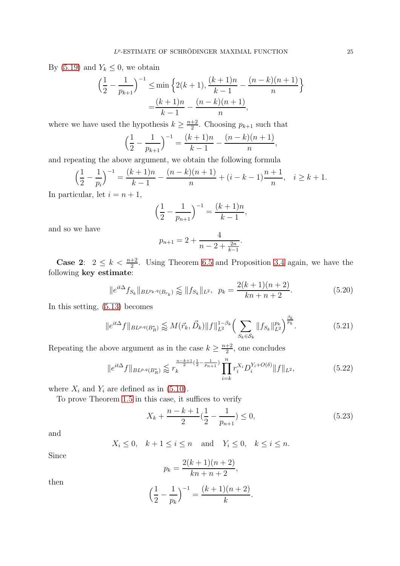By [\(5.19\)](#page-23-4) and  $Y_k \leq 0$ , we obtain

$$
\left(\frac{1}{2} - \frac{1}{p_{k+1}}\right)^{-1} \le \min\left\{2(k+1), \frac{(k+1)n}{k-1} - \frac{(n-k)(n+1)}{n}\right\}
$$

$$
= \frac{(k+1)n}{k-1} - \frac{(n-k)(n+1)}{n},
$$

where we have used the hypothesis  $k \geq \frac{n+2}{2}$  $\frac{+2}{2}$ . Choosing  $p_{k+1}$  such that

$$
\left(\frac{1}{2} - \frac{1}{p_{k+1}}\right)^{-1} = \frac{(k+1)n}{k-1} - \frac{(n-k)(n+1)}{n},
$$

and repeating the above argument, we obtain the following formula

$$
\left(\frac{1}{2} - \frac{1}{p_i}\right)^{-1} = \frac{(k+1)n}{k-1} - \frac{(n-k)(n+1)}{n} + (i - k - 1)\frac{n+1}{n}, \quad i \ge k+1.
$$

In particular, let  $i = n + 1$ ,

$$
\left(\frac{1}{2} - \frac{1}{p_{n+1}}\right)^{-1} = \frac{(k+1)n}{k-1},
$$

and so we have

$$
p_{n+1} = 2 + \frac{4}{n - 2 + \frac{2n}{k-1}}.
$$

**Case 2:**  $2 \leq k < \frac{n+2}{2}$ . Using Theorem [6.5](#page-28-0) and Proposition [3.4](#page-9-1) again, we have the following key estimate:

<span id="page-24-1"></span>
$$
||e^{it\Delta} f_{S_k}||_{BL^{p_k,q}(B_{r_k})} \lessapprox ||f_{S_k}||_{L^2}, \ \ p_k = \frac{2(k+1)(n+2)}{kn+n+2}.
$$

In this setting, [\(5.13\)](#page-23-0) becomes

$$
||e^{it\Delta}f||_{BL^{p,q}(B_R^*)} \lessapprox M(\vec{r}_k, \vec{D}_k) ||f||_{L^2}^{1-\beta_k} \Big(\sum_{S_k \in \mathcal{S}_k} ||f_{S_k}||_{L^2}^{p_k}\Big)^{\frac{\beta_k}{p_k}}.
$$
\n(5.21)

Repeating the above argument as in the case  $k \geq \frac{n+2}{2}$  $\frac{+2}{2}$ , one concludes

$$
||e^{it\Delta}f||_{BL^{p,q}(B_R^*)} \lesssim r_k^{\frac{n-k+1}{2}(\frac{1}{2}-\frac{1}{p_{n+1}})} \prod_{i=k}^n r_i^{X_i} D_i^{Y_i+O(\delta)} ||f||_{L^2},
$$
\n(5.22)

where  $X_i$  and  $Y_i$  are defined as in [\(5.10\)](#page-22-3).

To prove Theorem [1.5](#page-3-1) in this case, it suffices to verify

<span id="page-24-0"></span>
$$
X_k + \frac{n-k+1}{2} \left(\frac{1}{2} - \frac{1}{p_{n+1}}\right) \le 0,\tag{5.23}
$$

and

$$
X_i \le 0, \quad k+1 \le i \le n \quad \text{and} \quad Y_i \le 0, \quad k \le i \le n.
$$

Since

$$
p_k = \frac{2(k+1)(n+2)}{kn+n+2},
$$

then

$$
\left(\frac{1}{2} - \frac{1}{p_k}\right)^{-1} = \frac{(k+1)(n+2)}{k}.
$$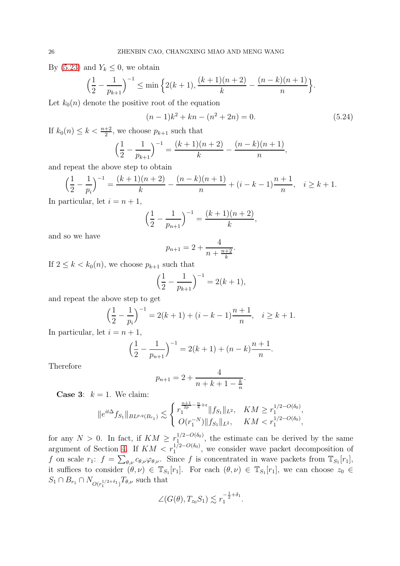By [\(5.23\)](#page-24-0) and  $Y_k \leq 0$ , we obtain

$$
\left(\frac{1}{2} - \frac{1}{p_{k+1}}\right)^{-1} \le \min\left\{2(k+1), \frac{(k+1)(n+2)}{k} - \frac{(n-k)(n+1)}{n}\right\}.
$$

Let  $k_0(n)$  denote the positive root of the equation

$$
(n-1)k2 + kn - (n2 + 2n) = 0.
$$
 (5.24)

If  $k_0(n) \leq k < \frac{n+2}{2}$ , we choose  $p_{k+1}$  such that

$$
\left(\frac{1}{2} - \frac{1}{p_{k+1}}\right)^{-1} = \frac{(k+1)(n+2)}{k} - \frac{(n-k)(n+1)}{n},
$$

and repeat the above step to obtain

$$
\left(\frac{1}{2} - \frac{1}{p_i}\right)^{-1} = \frac{(k+1)(n+2)}{k} - \frac{(n-k)(n+1)}{n} + (i - k - 1)\frac{n+1}{n}, \quad i \ge k+1.
$$

In particular, let  $i = n + 1$ ,

$$
\left(\frac{1}{2} - \frac{1}{p_{n+1}}\right)^{-1} = \frac{(k+1)(n+2)}{k},
$$

and so we have

$$
p_{n+1} = 2 + \frac{4}{n + \frac{n+2}{k}}.
$$

If  $2 \leq k < k_0(n)$ , we choose  $p_{k+1}$  such that

$$
\left(\frac{1}{2} - \frac{1}{p_{k+1}}\right)^{-1} = 2(k+1),
$$

and repeat the above step to get

$$
\left(\frac{1}{2} - \frac{1}{p_i}\right)^{-1} = 2(k+1) + (i - k - 1)\frac{n+1}{n}, \quad i \ge k+1.
$$

In particular, let  $i = n + 1$ ,

$$
\left(\frac{1}{2} - \frac{1}{p_{n+1}}\right)^{-1} = 2(k+1) + (n-k)\frac{n+1}{n}.
$$

Therefore

$$
p_{n+1} = 2 + \frac{4}{n+k+1-\frac{k}{n}}.
$$

**Case 3:**  $k = 1$ . We claim:

$$
||e^{it\Delta} f_{S_1}||_{BL^{p,q}(B_{r_1})} \lesssim \begin{cases} r_1^{\frac{n+1}{2p} - \frac{n}{4} + \epsilon} ||f_{S_1}||_{L^2}, & KM \geq r_1^{1/2 - O(\delta_0)}, \\ O(r_1^{-N}) ||f_{S_1}||_{L^2}, & KM < r_1^{1/2 - O(\delta_0)}, \end{cases}
$$

for any  $N > 0$ . In fact, if  $KM \geq r_1^{1/2 - O(\delta_0)}$  $1/2-O(00)$ , the estimate can be derived by the same argument of Section [4.](#page-14-0) If  $KM < r_1^{1/2-O(\delta_0)}$ , we consider wave packet decomposition of f on scale  $r_1$ :  $f = \sum_{\theta,\nu} c_{\theta,\nu} \varphi_{\theta,\nu}$ . Since f is concentrated in wave packets from  $\mathbb{T}_{S_1}[r_1]$ , it suffices to consider  $(\theta, \nu) \in \mathbb{T}_{S_1}[r_1]$ . For each  $(\theta, \nu) \in \mathbb{T}_{S_1}[r_1]$ , we can choose  $z_0 \in$  $S_1 \cap B_{r_1} \cap N_{O(r_1^{1/2+\delta_1})} T_{\theta,\nu}$  such that

$$
\angle(G(\theta), T_{z_0}S_1) \lesssim r_1^{-\frac{1}{2}+\delta_1}.
$$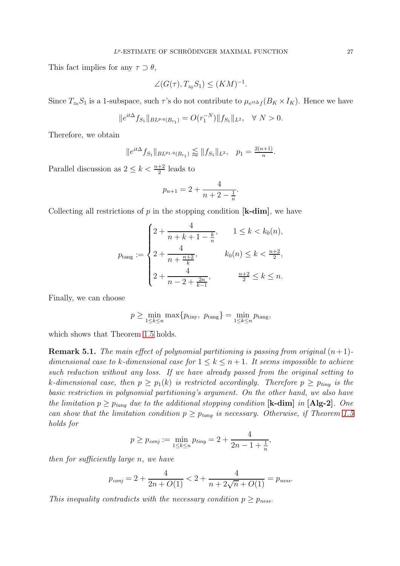This fact implies for any  $\tau \supset \theta$ ,

$$
\angle(G(\tau),T_{z_0}S_1)\leq (KM)^{-1}.
$$

Since  $T_{z_0}S_1$  is a 1-subspace, such  $\tau$ 's do not contribute to  $\mu_{e^{it\Delta}f}(B_K \times I_K)$ . Hence we have

$$
||e^{it\Delta} f_{S_1}||_{BL^{p,q}(B_{r_1})} = O(r_1^{-N})||f_{S_1}||_{L^2}, \quad \forall N > 0.
$$

Therefore, we obtain

$$
||e^{it\Delta} f_{S_1}||_{BL^{p_1,q}(B_{r_1})} \lessapprox ||f_{S_1}||_{L^2}, \quad p_1 = \frac{2(n+1)}{n}.
$$

Parallel discussion as  $2 \leq k < \frac{n+2}{2}$  leads to

$$
p_{n+1} = 2 + \frac{4}{n+2 - \frac{1}{n}}
$$

.

Collecting all restrictions of  $p$  in the stopping condition  $[k-dim]$ , we have

$$
p_{\text{tang}} := \begin{cases} 2 + \frac{4}{n + k + 1 - \frac{k}{n}}, & 1 \le k < k_0(n), \\ 2 + \frac{4}{n + \frac{n + 2}{k}}, & k_0(n) \le k < \frac{n + 2}{2}, \\ 2 + \frac{4}{n - 2 + \frac{2n}{k - 1}}, & \frac{n + 2}{2} \le k \le n. \end{cases}
$$

Finally, we can choose

$$
p \ge \min_{1 \le k \le n} \max\{p_{\text{tiny}}, p_{\text{tang}}\} = \min_{1 \le k \le n} p_{\text{tang}},
$$

which shows that Theorem [1.5](#page-3-1) holds.

**Remark 5.1.** The main effect of polynomial partitioning is passing from original  $(n+1)$ dimensional case to k-dimensional case for  $1 \leq k \leq n+1$ . It seems impossible to achieve such reduction without any loss. If we have already passed from the original setting to k-dimensional case, then  $p \geq p_1(k)$  is restricted accordingly. Therefore  $p \geq p_{tiny}$  is the basic restriction in polynomial partitioning's argument. On the other hand, we also have the limitation  $p \geq p_{tang}$  due to the additional stopping condition [k-dim] in [Alg-2]. One can show that the limitation condition  $p \geq p_{tang}$  is necessary. Otherwise, if Theorem [1.5](#page-3-1) holds for

$$
p \ge p_{conj} := \min_{1 \le k \le n} p_{tiny} = 2 + \frac{4}{2n - 1 + \frac{1}{n}},
$$

then for sufficiently large n, we have

$$
p_{conj} = 2 + \frac{4}{2n + O(1)} < 2 + \frac{4}{n + 2\sqrt{n} + O(1)} = p_{ness}.
$$

This inequality contradicts with the necessary condition  $p \geq p_{\text{ness}}$ .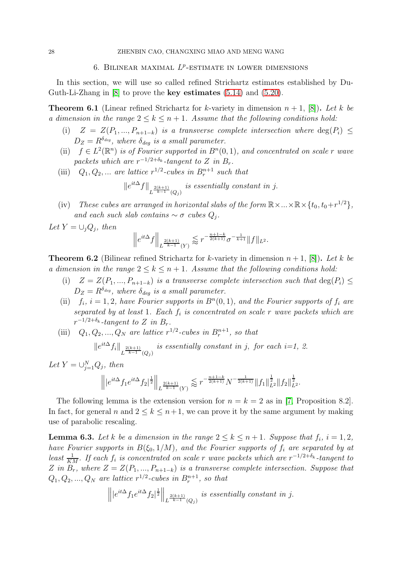## 6. BILINEAR MAXIMAL  $L^p$ -ESTIMATE IN LOWER DIMENSIONS

<span id="page-27-0"></span>In this section, we will use so called refined Strichartz estimates established by Du-Guth-Li-Zhang in [\[8\]](#page-32-6) to prove the key estimates [\(5.14\)](#page-23-5) and [\(5.20\)](#page-24-1).

<span id="page-27-1"></span>**Theorem 6.1** (Linear refined Strichartz for k-variety in dimension  $n + 1$ , [\[8\]](#page-32-6)). Let k be a dimension in the range  $2 \leq k \leq n+1$ . Assume that the following conditions hold:

- (i)  $Z = Z(P_1, ..., P_{n+1-k})$  is a transverse complete intersection where  $deg(P_i) \leq$  $D_Z = R^{\delta_{deg}}$ , where  $\delta_{deg}$  is a small parameter.
- (ii)  $f \in L^2(\mathbb{R}^n)$  is of Fourier supported in  $B<sup>n</sup>(0,1)$ , and concentrated on scale r wave packets which are  $r^{-1/2+\delta_k}$ -tangent to Z in  $B_r$ .
- (iii)  $Q_1, Q_2, \ldots$  are lattice  $r^{1/2}$ -cubes in  $B_r^{n+1}$  such that

$$
\|e^{it\Delta}f\|_{L^{\frac{2(k+1)}{k-1}}(Q_j)}
$$
 is essentially constant in j.

(iv) These cubes are arranged in horizontal slabs of the form  $\mathbb{R}\times...\times\mathbb{R}\times\{t_0,t_0+r^{1/2}\}$ , and each such slab contains  $\sim \sigma$  cubes  $Q_j$ .

Let  $Y = \bigcup_j Q_j$ , then

$$
\left\|e^{it\Delta}f\right\|_{L^{\frac{2(k+1)}{k-1}}(Y)}\lesssim r^{-\frac{n+1-k}{2(k+1)}}\sigma^{-\frac{1}{k+1}}\|f\|_{L^2}.
$$

**Theorem 6.2** (Bilinear refined Strichartz for k-variety in dimension  $n + 1$ , [\[8\]](#page-32-6)). Let k be a dimension in the range  $2 \leq k \leq n+1$ . Assume that the following conditions hold:

- (i)  $Z = Z(P_1, ..., P_{n+1-k})$  is a transverse complete intersection such that  $\deg(P_i) \leq$  $D_Z = R^{\delta_{deg}}$ , where  $\delta_{deg}$  is a small parameter.
- (ii)  $f_i$ ,  $i = 1, 2$ , have Fourier supports in  $B<sup>n</sup>(0, 1)$ , and the Fourier supports of  $f_i$  are separated by at least 1. Each  $f_i$  is concentrated on scale r wave packets which are  $r^{-1/2+\delta_k}$ -tangent to Z in  $B_r$ .
- (iii)  $Q_1, Q_2, ..., Q_N$  are lattice  $r^{1/2}$ -cubes in  $B_r^{n+1}$ , so that is essentially constant in  $\mathbf{r}$  is the each in  $\mathbf{r}$

$$
\|e^{it\Delta}f_i\|_{L^{\frac{2(k+1)}{k-1}}(Q_j)}
$$
 is essentially constant in j, for each i=1, 2.

Let  $Y = \bigcup_{j=1}^{N} Q_j$ , then

$$
\left\||e^{it\Delta}f_1e^{it\Delta}f_2|^{\frac{1}{2}}\right\|_{L^{\frac{2(k+1)}{k-1}}(Y)}\lessapprox r^{-\frac{n+1-k}{2(k+1)}}N^{-\frac{1}{2(k+1)}}\|f_1\|_{L^2}^{\frac{1}{2}}\|f_2\|_{L^2}^{\frac{1}{2}}.
$$

The following lemma is the extension version for  $n = k = 2$  as in [\[7,](#page-32-0) Proposition 8.2]. In fact, for general n and  $2 \leq k \leq n+1$ , we can prove it by the same argument by making use of parabolic rescaling.

<span id="page-27-2"></span>**Lemma 6.3.** Let k be a dimension in the range  $2 \le k \le n+1$ . Suppose that  $f_i$ ,  $i = 1, 2$ , have Fourier supports in  $B(\xi_0, 1/M)$ , and the Fourier supports of  $f_i$  are separated by at least  $\frac{1}{KM}$ . If each  $f_i$  is concentrated on scale r wave packets which are  $r^{-1/2+\delta_k}$ -tangent to Z in  $B_r$ , where  $Z = Z(P_1, ..., P_{n+1-k})$  is a transverse complete intersection. Suppose that  $Q_1, Q_2, ..., Q_N$  are lattice  $r^{1/2}$ -cubes in  $B_r^{n+1}$ , so that

$$
\left\||e^{it\Delta}f_1e^{it\Delta}f_2|^{\frac{1}{2}}\right\|_{L^{\frac{2(k+1)}{k-1}}(Q_j)}\text{ is essentially constant in }j.
$$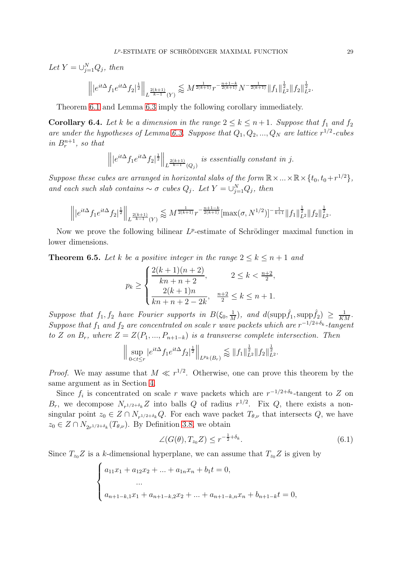Let  $Y = \bigcup_{j=1}^{N} Q_j$ , then

$$
\left\||e^{it\Delta}f_1e^{it\Delta}f_2|^{\frac{1}{2}}\right\|_{L^{\frac{2(k+1)}{k-1}}(Y)}\lessapprox M^{\frac{1}{2(k+1)}}r^{-\frac{n+1-k}{2(k+1)}}N^{-\frac{1}{2(k+1)}}\|f_1\|_{L^2}^{\frac{1}{2}}\|f_2\|_{L^2}^{\frac{1}{2}}.
$$

Theorem [6.1](#page-27-1) and Lemma [6.3](#page-27-2) imply the following corollary immediately.

<span id="page-28-2"></span>**Corollary 6.4.** Let k be a dimension in the range  $2 \le k \le n+1$ . Suppose that  $f_1$  and  $f_2$ are under the hypotheses of Lemma [6.3.](#page-27-2) Suppose that  $Q_1, Q_2, ..., Q_N$  are lattice  $r^{1/2}$ -cubes in  $B_r^{n+1}$ , so that

$$
\left\||e^{it\Delta}f_1e^{it\Delta}f_2|^{\frac{1}{2}}\right\|_{L^{\frac{2(k+1)}{k-1}}(Q_j)}\text{ is essentially constant in }j.
$$

Suppose these cubes are arranged in horizontal slabs of the form  $\mathbb{R}\times...\times\mathbb{R}\times\{t_0,t_0+r^{1/2}\}$ , and each such slab contains  $\sim \sigma$  cubes  $Q_j$ . Let  $Y = \bigcup_{j=1}^{N} Q_j$ , then

$$
\left\||e^{it\Delta}f_1e^{it\Delta}f_2|^{\frac{1}{2}}\right\|_{L^{\frac{2(k+1)}{k-1}}(Y)} \lessapprox M^{\frac{1}{2(k+1)}}r^{-\frac{n+1-k}{2(k+1)}}[\max(\sigma,N^{1/2})]^{-\frac{1}{k+1}}\|f_1\|_{L^2}^{\frac{1}{2}}\|f_2\|_{L^2}^{\frac{1}{2}}.
$$

Now we prove the following bilinear  $L^p$ -estimate of Schrödinger maximal function in lower dimensions.

<span id="page-28-0"></span>**Theorem 6.5.** Let k be a positive integer in the range  $2 \leq k \leq n+1$  and

$$
p_k \ge \begin{cases} \frac{2(k+1)(n+2)}{kn+n+2}, & 2 \le k < \frac{n+2}{2}, \\ \frac{2(k+1)n}{kn+n+2-2k}, & \frac{n+2}{2} \le k \le n+1. \end{cases}
$$

Suppose that  $f_1, f_2$  have Fourier supports in  $B(\xi_0, \frac{1}{M})$  $\frac{1}{M}$ ), and  $d(\mathrm{supp} \hat{f}_1, \mathrm{supp} \hat{f}_2) \geq \frac{1}{KM}$ . Suppose that  $f_1$  and  $f_2$  are concentrated on scale r wave packets which are  $r^{-1/2+\delta_k}$ -tangent to Z on  $B_r$ , where  $Z = Z(P_1, ..., P_{n+1-k})$  is a transverse complete intersection. Then

$$
\Big\| \sup_{0
$$

*Proof.* We may assume that  $M \ll r^{1/2}$ . Otherwise, one can prove this theorem by the same argument as in Section [4.](#page-14-0)

Since  $f_i$  is concentrated on scale r wave packets which are  $r^{-1/2+\delta_k}$ -tangent to Z on  $B_r$ , we decompose  $N_{r^{1/2+\delta_k}}Z$  into balls Q of radius  $r^{1/2}$ . Fix Q, there exists a nonsingular point  $z_0 \in Z \cap N_{r^{1/2+\delta_k}}Q$ . For each wave packet  $T_{\theta,\nu}$  that intersects  $Q$ , we have  $z_0 \in Z \cap N_{2r^{1/2+\delta_k}}(T_{\theta,\nu})$ . By Definition [3.8,](#page-13-1) we obtain

<span id="page-28-1"></span>
$$
\angle(G(\theta), T_{z_0}Z) \le r^{-\frac{1}{2} + \delta_k}.\tag{6.1}
$$

Since  $T_{z_0}Z$  is a k-dimensional hyperplane, we can assume that  $T_{z_0}Z$  is given by

$$
\begin{cases} a_{11}x_1 + a_{12}x_2 + \dots + a_{1n}x_n + b_1t = 0, \\ \dots \\ a_{n+1-k,1}x_1 + a_{n+1-k,2}x_2 + \dots + a_{n+1-k,n}x_n + b_{n+1-k}t = 0, \end{cases}
$$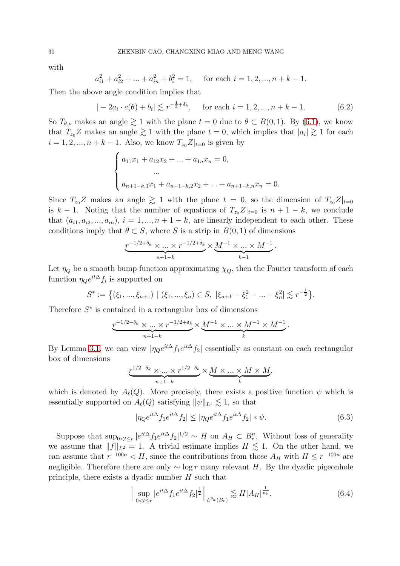with

$$
a_{i1}^2 + a_{i2}^2 + \dots + a_{in}^2 + b_i^2 = 1
$$
, for each  $i = 1, 2, ..., n + k - 1$ .

Then the above angle condition implies that

$$
|-2a_i \cdot c(\theta) + b_i| \lesssim r^{-\frac{1}{2} + \delta_k}, \quad \text{for each } i = 1, 2, ..., n + k - 1.
$$
 (6.2)

So  $T_{\theta,\nu}$  makes an angle  $\geq 1$  with the plane  $t = 0$  due to  $\theta \subset B(0,1)$ . By [\(6.1\)](#page-28-1), we know that  $T_{z_0}Z$  makes an angle  $\gtrsim 1$  with the plane  $t = 0$ , which implies that  $|a_i| \gtrsim 1$  for each  $i = 1, 2, ..., n + k - 1$ . Also, we know  $T_{z_0}Z|_{t=0}$  is given by

$$
\begin{cases} a_{11}x_1 + a_{12}x_2 + \dots + a_{1n}x_n = 0, \\ \dots \\ a_{n+1-k,1}x_1 + a_{n+1-k,2}x_2 + \dots + a_{n+1-k,n}x_n = 0. \end{cases}
$$

Since  $T_{z_0}Z$  makes an angle  $\geq 1$  with the plane  $t = 0$ , so the dimension of  $T_{z_0}Z|_{t=0}$ is  $k-1$ . Noting that the number of equations of  $T_{z_0}Z|_{t=0}$  is  $n+1-k$ , we conclude that  $(a_{i1}, a_{i2}, ..., a_{in}), i = 1, ..., n+1-k$ , are linearly independent to each other. These conditions imply that  $\theta \subset S$ , where S is a strip in  $B(0, 1)$  of dimensions

$$
\underbrace{r^{-1/2+\delta_k} \times ... \times r^{-1/2+\delta_k}}_{n+1-k} \times \underbrace{M^{-1} \times ... \times M^{-1}}_{k-1}.
$$

Let  $\eta_Q$  be a smooth bump function approximating  $\chi_Q$ , then the Fourier transform of each function  $\eta_{Q}e^{it\Delta}f_{i}$  is supported on

$$
S^* := \left\{ (\xi_1, ..., \xi_{n+1}) \mid (\xi_1, ..., \xi_n) \in S, \ |\xi_{n+1} - \xi_1^2 - ... - \xi_n^2| \lesssim r^{-\frac{1}{2}} \right\}.
$$

Therefore  $S^*$  is contained in a rectangular box of dimensions

$$
\underbrace{r^{-1/2+\delta_k} \times \ldots \times r^{-1/2+\delta_k}}_{n+1-k} \times \underbrace{M^{-1} \times \ldots \times M^{-1} \times M^{-1}}_{k}.
$$

By Lemma [3.1,](#page-7-1) we can view  $|\eta_{Q}e^{it\Delta}f_{1}e^{it\Delta}f_{2}|$  essentially as constant on each rectangular box of dimensions

$$
\underbrace{r^{1/2-\delta_k} \times \ldots \times r^{1/2-\delta_k}}_{n+1-k} \times \underbrace{M \times \ldots \times M \times M}_{k},
$$

which is denoted by  $A_{\ell}(Q)$ . More precisely, there exists a positive function  $\psi$  which is essentially supported on  $A_{\ell}(Q)$  satisfying  $\|\psi\|_{L^1} \lesssim 1$ , so that

<span id="page-29-0"></span>
$$
|\eta_{Q}e^{it\Delta}f_{1}e^{it\Delta}f_{2}| \le |\eta_{Q}e^{it\Delta}f_{1}e^{it\Delta}f_{2}| * \psi.
$$
\n(6.3)

Suppose that  $\sup_{0 \le t \le r} |e^{it\Delta} f_1 e^{it\Delta} f_2|^{1/2} \sim H$  on  $A_H \subset B_r^n$ . Without loss of generality we assume that  $||f||_{L^2} = 1$ . A trivial estimate implies  $H \lesssim 1$ . On the other hand, we can assume that  $r^{-100n} < H$ , since the contributions from those  $A_H$  with  $H \le r^{-100n}$  are negligible. Therefore there are only  $\sim \log r$  many relevant H. By the dyadic pigeonhole principle, there exists a dyadic number  $H$  such that

<span id="page-29-1"></span>
$$
\left\| \sup_{0 < t \le r} |e^{it\Delta} f_1 e^{it\Delta} f_2|^{\frac{1}{2}} \right\|_{L^{p_k}(B_r)} \lessapprox H |A_H|^{\frac{1}{p_k}}.\tag{6.4}
$$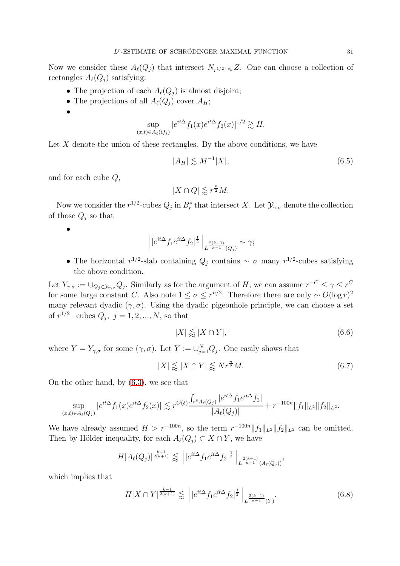Now we consider these  $A_{\ell}(Q_j)$  that intersect  $N_{r^{1/2+\delta_k}}Z$ . One can choose a collection of rectangles  $A_{\ell}(Q_i)$  satisfying:

- The projection of each  $A_{\ell}(Q_i)$  is almost disjoint;
- The projections of all  $A_{\ell}(Q_j)$  cover  $A_H$ ;
- •

$$
\sup_{(x,t)\in A_{\ell}(Q_j)} |e^{it\Delta} f_1(x)e^{it\Delta} f_2(x)|^{1/2} \gtrsim H.
$$

Let  $X$  denote the union of these rectangles. By the above conditions, we have

<span id="page-30-0"></span>
$$
|A_H| \lesssim M^{-1}|X|,\tag{6.5}
$$

and for each cube Q,

$$
|X\cap Q|\lessapprox r^{\frac{n}{2}}M.
$$

Now we consider the  $r^{1/2}$ -cubes  $Q_j$  in  $B_r^*$  that intersect X. Let  $\mathcal{Y}_{\gamma,\sigma}$  denote the collection of those  $Q_j$  so that

•

$$
\left\| |e^{it\Delta} f_1 e^{it\Delta} f_2|^{\frac{1}{2}} \right\|_{L^{\frac{2(k+1)}{k-1}}(Q_j)} \sim \gamma;
$$

• The horizontal  $r^{1/2}$ -slab containing  $Q_j$  contains ~  $\sigma$  many  $r^{1/2}$ -cubes satisfying the above condition.

Let  $Y_{\gamma,\sigma} := \cup_{Q_j \in \mathcal{Y}_{\gamma,\sigma}} Q_j$ . Similarly as for the argument of H, we can assume  $r^{-C} \leq \gamma \leq r^C$ for some large constant C. Also note  $1 \leq \sigma \leq r^{n/2}$ . Therefore there are only  $\sim O(\log r)^2$ many relevant dyadic  $(\gamma, \sigma)$ . Using the dyadic pigeonhole principle, we can choose a set of  $r^{1/2}$ -cubes  $Q_j$ ,  $j = 1, 2, ..., N$ , so that

<span id="page-30-1"></span>
$$
|X| \lessapprox |X \cap Y|,\tag{6.6}
$$

where  $Y = Y_{\gamma,\sigma}$  for some  $(\gamma,\sigma)$ . Let  $Y := \bigcup_{j=1}^{N} Q_j$ . One easily shows that

<span id="page-30-2"></span>
$$
|X| \lessapprox |X \cap Y| \lessapprox Nr^{\frac{n}{2}}M. \tag{6.7}
$$

On the other hand, by [\(6.3\)](#page-29-0), we see that

$$
\sup_{(x,t)\in A_{\ell}(Q_j)} |e^{it\Delta} f_1(x)e^{it\Delta} f_2(x)| \lesssim r^{O(\delta)} \frac{\int_{r^{\delta}A_{\ell}(Q_j)} |e^{it\Delta} f_1 e^{it\Delta} f_2|}{|A_{\ell}(Q_j)|} + r^{-100n} \|f_1\|_{L^2} \|f_2\|_{L^2}.
$$

We have already assumed  $H > r^{-100n}$ , so the term  $r^{-100n} ||f_1||_{L^2} ||f_2||_{L^2}$  can be omitted. Then by Hölder inequality, for each  $A_{\ell}(Q_i) \subset X \cap Y$ , we have

$$
H|A_{\ell}(Q_j)|^{\frac{k-1}{2(k+1)}} \lesssim ||e^{it\Delta} f_1 e^{it\Delta} f_2|^{\frac{1}{2}}||_{L^{\frac{2(k+1)}{k-1}}(A_{\ell}(Q_j))},
$$

which implies that

<span id="page-30-3"></span>
$$
H|X \cap Y|^{\frac{k-1}{2(k+1)}} \lessapprox \left\| |e^{it\Delta} f_1 e^{it\Delta} f_2|^{\frac{1}{2}} \right\|_{L^{\frac{2(k+1)}{k-1}}(Y)}.
$$
\n(6.8)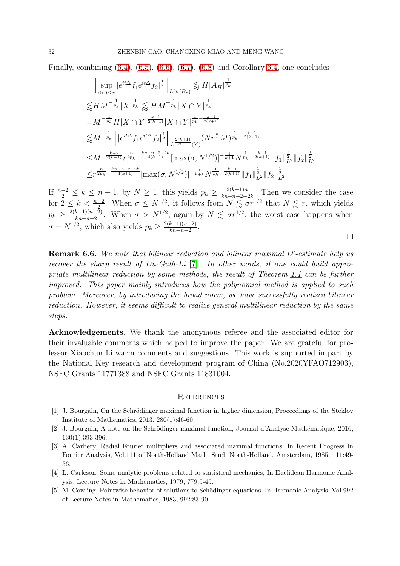Finally, combining  $(6.4)$ ,  $(6.5)$ ,  $(6.6)$ ,  $(6.7)$ ,  $(6.8)$  and Corollary [6.4,](#page-28-2) one concludes

$$
\| \sup_{0 < t \leq r} |e^{it\Delta} f_1 e^{it\Delta} f_2|^{\frac{1}{2}} \|_{L^{p_k}(B_r)} \lessapprox H |A_H|^{\frac{1}{p_k}}
$$
  
\n
$$
\lessapprox H M^{-\frac{1}{p_k}} |X|^{\frac{1}{p_k}} \lessapprox H M^{-\frac{1}{p_k}} |X \cap Y|^{\frac{1}{p_k}}
$$
  
\n
$$
= M^{-\frac{1}{p_k}} H |X \cap Y|^{\frac{k-1}{2(k+1)}} |X \cap Y|^{\frac{1}{p_k} - \frac{k-1}{2(k+1)}}
$$
  
\n
$$
\lessapprox M^{-\frac{1}{p_k}} \| |e^{it\Delta} f_1 e^{it\Delta} f_2|^{\frac{1}{2}} \|_{L^{\frac{2(k+1)}{k-1}}(Y)} (Nr^{\frac{n}{2}}M)^{\frac{1}{p_k} - \frac{k-1}{2(k+1)}}
$$
  
\n
$$
\leq M^{-\frac{k-2}{2(k+1)}} r^{\frac{n}{2p_k} - \frac{kn+n+2-2k}{4(k+1)}} [\max(\sigma, N^{1/2})]^{-\frac{1}{k+1}} N^{\frac{1}{p_k} - \frac{k-1}{2(k+1)}} \|f_1\|_{L^2}^{\frac{1}{2}} \|f_2\|_{L^2}^{\frac{1}{2}}
$$
  
\n
$$
\leq r^{\frac{n}{2p_k} - \frac{kn+n+2-2k}{4(k+1)}} [\max(\sigma, N^{1/2})]^{-\frac{1}{k+1}} N^{\frac{1}{p_k} - \frac{k-1}{2(k+1)}} \|f_1\|_{L^2}^{\frac{1}{2}} \|f_2\|_{L^2}^{\frac{1}{2}}.
$$

If  $\frac{n+2}{2} \leq k \leq n+1$ , by  $N \geq 1$ , this yields  $p_k \geq \frac{2(k+1)n}{kn+n+2-1}$  $\frac{2(k+1)n}{kn+n+2-2k}$ . Then we consider the case for  $2 \leq k < \frac{n+2}{2}$ . When  $\sigma \leq N^{1/2}$ , it follows from  $N \lesssim \sigma r^{1/2}$  that  $N \lesssim r$ , which yields  $p_k \geq \frac{2(k+1)(n+2)}{kn+n+2}$ . When  $\sigma > N^{1/2}$ , again by  $N \lesssim \sigma r^{1/2}$ , the worst case happens when  $\sigma = N^{1/2}$ , which also yields  $p_k \ge \frac{2(k+1)(n+2)}{kn+n+2}$ .

 $\Box$ 

**Remark 6.6.** We note that bilinear reduction and bilinear maximal  $L^p$ -estimate help us recover the sharp result of  $Du-Guth-Li$  [\[7\]](#page-32-0). In other words, if one could build appropriate multilinear reduction by some methods, the result of Theorem [1.1](#page-2-0) can be further improved. This paper mainly introduces how the polynomial method is applied to such problem. Moreover, by introducing the broad norm, we have successfully realized bilinear reduction. However, it seems difficult to realize general multilinear reduction by the same steps.

Acknowledgements. We thank the anonymous referee and the associated editor for their invaluable comments which helped to improve the paper. We are grateful for professor Xiaochun Li warm comments and suggestions. This work is supported in part by the National Key research and development program of China (No.2020YFAO712903), NSFC Grants 11771388 and NSFC Grants 11831004.

#### **REFERENCES**

- <span id="page-31-3"></span>[1] J. Bourgain, On the Schrödinger maximal function in higher dimension, Proceedings of the Steklov Institute of Mathematics, 2013, 280(1):46-60.
- <span id="page-31-4"></span><span id="page-31-1"></span>[2] J. Bourgain, A note on the Schrödinger maximal function, Journal d'Analyse Mathématique, 2016, 130(1):393-396.
- [3] A. Carbery, Radial Fourier multipliers and associated maximal functions, In Recent Progress In Fourier Analysis, Vol.111 of North-Holland Math. Stud, North-Holland, Amsterdam, 1985, 111:49- 56.
- <span id="page-31-0"></span>[4] L. Carleson, Some analytic problems related to statistical mechanics, In Euclidean Harmonic Analysis, Lecture Notes in Mathematics, 1979, 779:5-45.
- <span id="page-31-2"></span>[5] M. Cowling, Pointwise behavior of solutions to Schödinger equations, In Harmonic Analysis, Vol.992 of Lecrure Notes in Mathematics, 1983, 992:83-90.